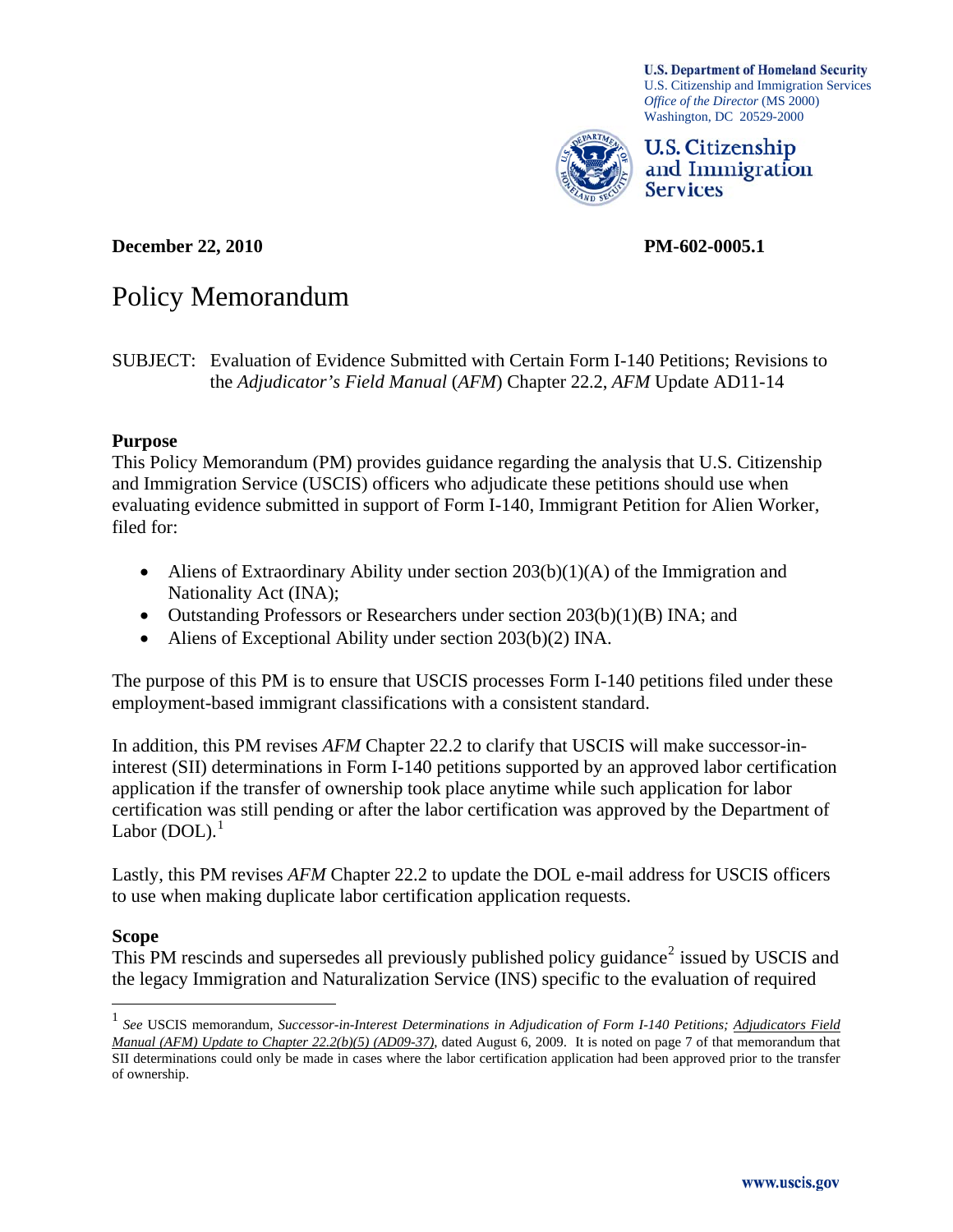**U.S. Department of Homeland Security** U.S. Citizenship and Immigration Services *Office of the Director* (MS 2000) Washington, DC 20529-2000



U.S. Citizenship and Immigration **Services** 

## **December 22, 2010 PM-602-0005.1**

# Policy Memorandum

SUBJECT: Evaluation of Evidence Submitted with Certain Form I-140 Petitions; Revisions to the *Adjudicator's Field Manual* (*AFM*) Chapter 22.2, *AFM* Update AD11-14

#### **Purpose**

This Policy Memorandum (PM) provides guidance regarding the analysis that U.S. Citizenship and Immigration Service (USCIS) officers who adjudicate these petitions should use when evaluating evidence submitted in support of Form I-140, Immigrant Petition for Alien Worker, filed for:

- Aliens of Extraordinary Ability under section  $203(b)(1)(A)$  of the Immigration and Nationality Act (INA);
- Outstanding Professors or Researchers under section  $203(b)(1)(B)$  INA; and
- Aliens of Exceptional Ability under section 203(b)(2) INA.

The purpose of this PM is to ensure that USCIS processes Form I-140 petitions filed under these employment-based immigrant classifications with a consistent standard.

In addition, this PM revises *AFM* Chapter 22.2 to clarify that USCIS will make successor-ininterest (SII) determinations in Form I-140 petitions supported by an approved labor certification application if the transfer of ownership took place anytime while such application for labor certification was still pending or after the labor certification was approved by the Department of Labor  $(DOL).$ <sup>[1](#page-0-0)</sup>

Lastly, this PM revises *AFM* Chapter 22.2 to update the DOL e-mail address for USCIS officers to use when making duplicate labor certification application requests.

### **Scope**

 $\overline{a}$ 

This PM rescinds and supersedes all previously published policy guidance<sup>[2](#page-0-1)</sup> issued by USCIS and the legacy Immigration and Naturalization Service (INS) specific to the evaluation of required

<span id="page-0-1"></span><span id="page-0-0"></span><sup>1</sup> *See* USCIS memorandum, *Successor-in-Interest Determinations in Adjudication of Form I-140 Petitions; Adjudicators Field Manual (AFM) Update to Chapter 22.2(b)(5) (AD09-37)*, dated August 6, 2009. It is noted on page 7 of that memorandum that SII determinations could only be made in cases where the labor certification application had been approved prior to the transfer of ownership.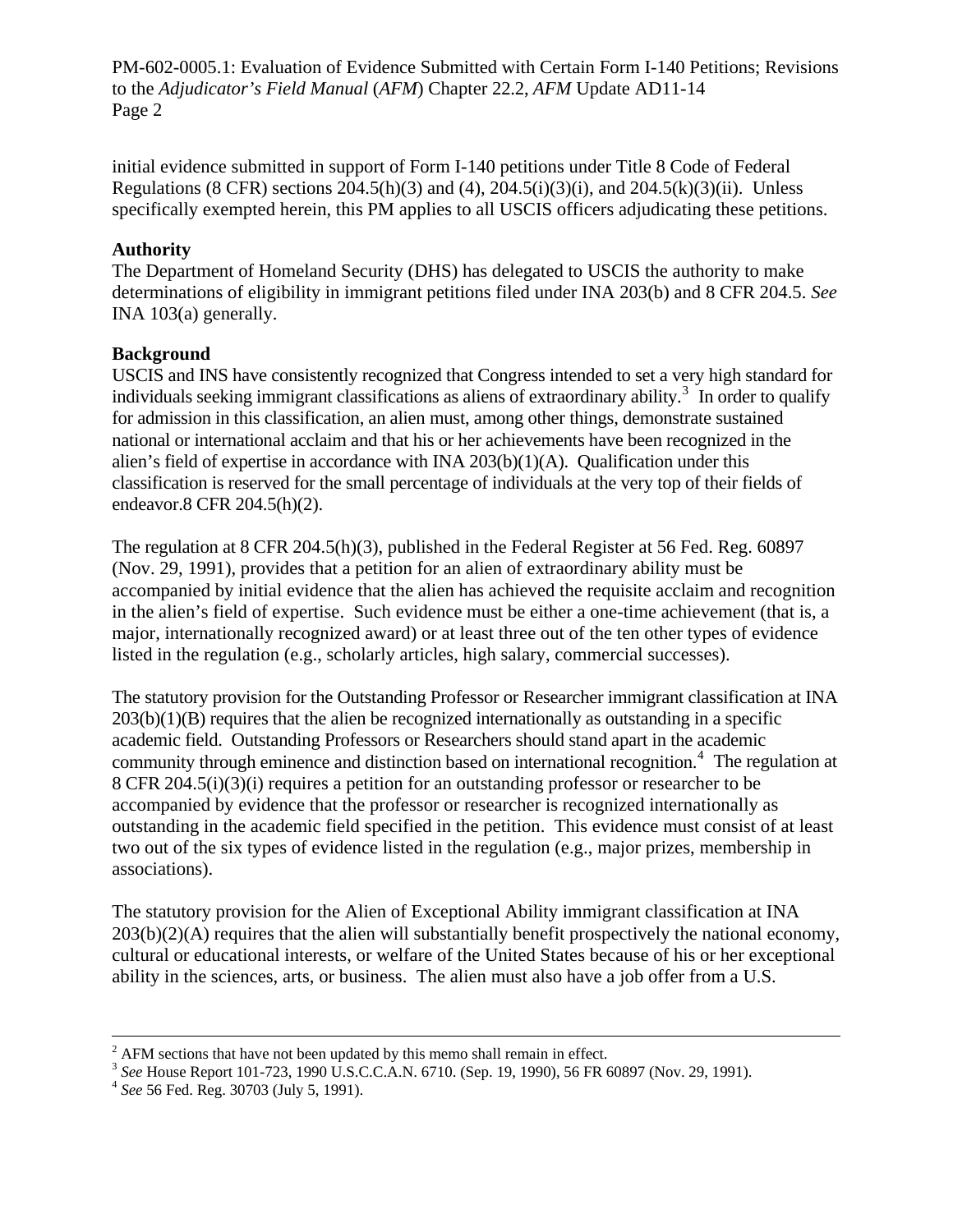initial evidence submitted in support of Form I-140 petitions under Title 8 Code of Federal Regulations (8 CFR) sections  $204.5(h)(3)$  and  $(4)$ ,  $204.5(i)(3)(i)$ , and  $204.5(k)(3)(ii)$ . Unless specifically exempted herein, this PM applies to all USCIS officers adjudicating these petitions.

#### **Authority**

The Department of Homeland Security (DHS) has delegated to USCIS the authority to make determinations of eligibility in immigrant petitions filed under INA 203(b) and 8 CFR 204.5. *See* INA 103(a) generally.

#### **Background**

USCIS and INS have consistently recognized that Congress intended to set a very high standard for individuals seeking immigrant classifications as aliens of extraordinary ability.<sup>[3](#page-1-0)</sup> In order to qualify for admission in this classification, an alien must, among other things, demonstrate sustained national or international acclaim and that his or her achievements have been recognized in the alien's field of expertise in accordance with INA 203(b)(1)(A). Qualification under this classification is reserved for the small percentage of individuals at the very top of their fields of endeavor.8 CFR 204.5(h)(2).

The regulation at 8 CFR 204.5(h)(3), published in the Federal Register at 56 Fed. Reg. 60897 (Nov. 29, 1991), provides that a petition for an alien of extraordinary ability must be accompanied by initial evidence that the alien has achieved the requisite acclaim and recognition in the alien's field of expertise. Such evidence must be either a one-time achievement (that is, a major, internationally recognized award) or at least three out of the ten other types of evidence listed in the regulation (e.g., scholarly articles, high salary, commercial successes).

The statutory provision for the Outstanding Professor or Researcher immigrant classification at INA  $203(b)(1)(B)$  requires that the alien be recognized internationally as outstanding in a specific academic field. Outstanding Professors or Researchers should stand apart in the academic community through eminence and distinction based on international recognition.<sup>[4](#page-1-1)</sup> The regulation at 8 CFR 204.5(i)(3)(i) requires a petition for an outstanding professor or researcher to be accompanied by evidence that the professor or researcher is recognized internationally as outstanding in the academic field specified in the petition. This evidence must consist of at least two out of the six types of evidence listed in the regulation (e.g., major prizes, membership in associations).

The statutory provision for the Alien of Exceptional Ability immigrant classification at INA  $203(b)(2)(A)$  requires that the alien will substantially benefit prospectively the national economy, cultural or educational interests, or welfare of the United States because of his or her exceptional ability in the sciences, arts, or business. The alien must also have a job offer from a U.S.

<u>.</u>

 $2$  AFM sections that have not been updated by this memo shall remain in effect.

<span id="page-1-0"></span><sup>&</sup>lt;sup>3</sup> *See* House Report 101-723, 1990 U.S.C.C.A.N. 6710. (Sep. 19, 1990), 56 FR 60897 (Nov. 29, 1991). <sup>4</sup> *See* 56 Fed. Reg. 30703 (July 5, 1991).

<span id="page-1-1"></span>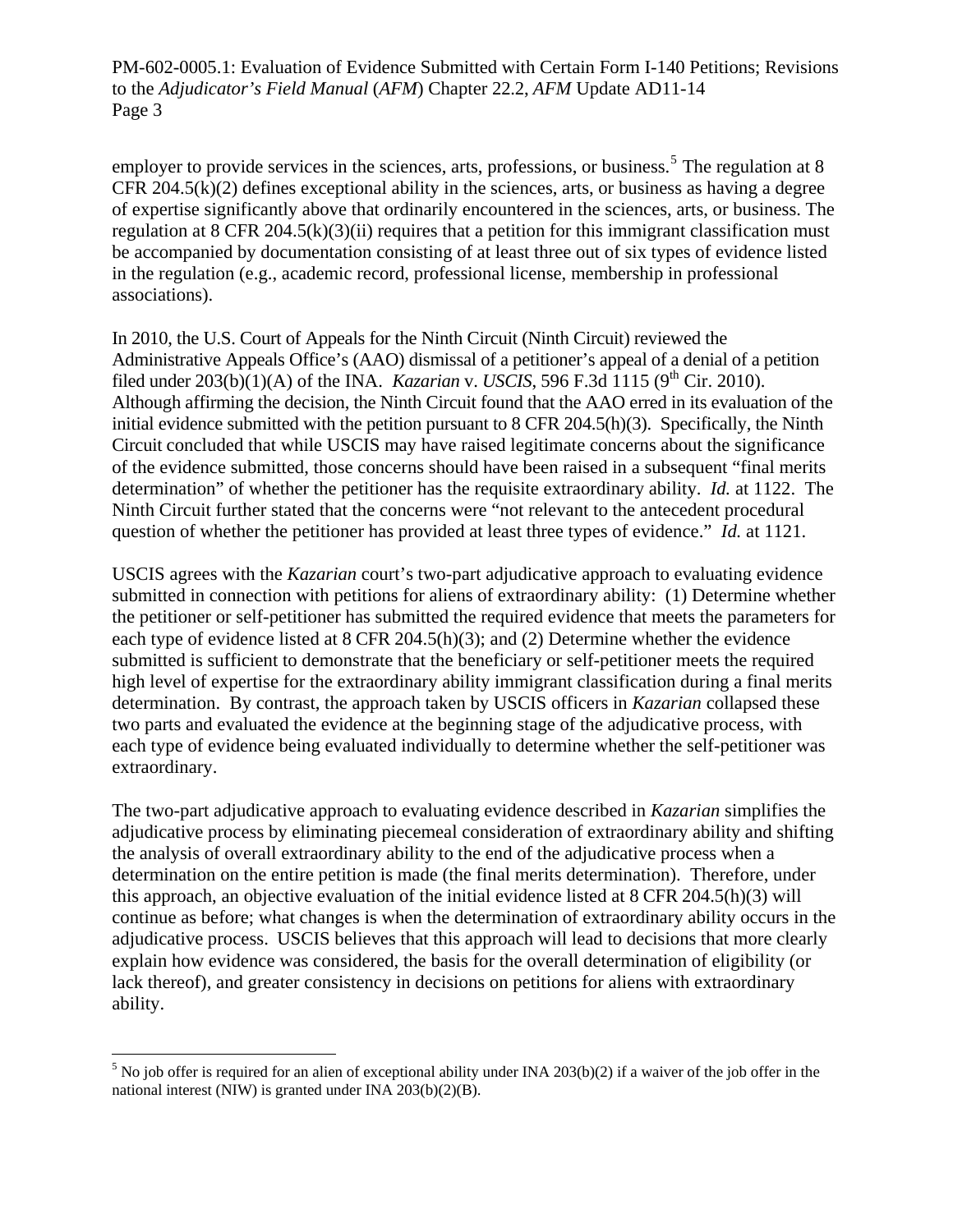employer to provide services in the sciences, arts, professions, or business.<sup>[5](#page-2-0)</sup> The regulation at 8 CFR 204.5 $(k)(2)$  defines exceptional ability in the sciences, arts, or business as having a degree of expertise significantly above that ordinarily encountered in the sciences, arts, or business. The regulation at 8 CFR 204.5(k)(3)(ii) requires that a petition for this immigrant classification must be accompanied by documentation consisting of at least three out of six types of evidence listed in the regulation (e.g., academic record, professional license, membership in professional associations).

In 2010, the U.S. Court of Appeals for the Ninth Circuit (Ninth Circuit) reviewed the Administrative Appeals Office's (AAO) dismissal of a petitioner's appeal of a denial of a petition filed under  $203(b)(1)(A)$  of the INA. *Kazarian v. USCIS*, 596 F.3d 1115 (9<sup>th</sup> Cir. 2010). Although affirming the decision, the Ninth Circuit found that the AAO erred in its evaluation of the initial evidence submitted with the petition pursuant to 8 CFR 204.5(h)(3). Specifically, the Ninth Circuit concluded that while USCIS may have raised legitimate concerns about the significance of the evidence submitted, those concerns should have been raised in a subsequent "final merits determination" of whether the petitioner has the requisite extraordinary ability. *Id.* at 1122. The Ninth Circuit further stated that the concerns were "not relevant to the antecedent procedural question of whether the petitioner has provided at least three types of evidence." *Id.* at 1121.

USCIS agrees with the *Kazarian* court's two-part adjudicative approach to evaluating evidence submitted in connection with petitions for aliens of extraordinary ability: (1) Determine whether the petitioner or self-petitioner has submitted the required evidence that meets the parameters for each type of evidence listed at 8 CFR 204.5(h)(3); and (2) Determine whether the evidence submitted is sufficient to demonstrate that the beneficiary or self-petitioner meets the required high level of expertise for the extraordinary ability immigrant classification during a final merits determination. By contrast, the approach taken by USCIS officers in *Kazarian* collapsed these two parts and evaluated the evidence at the beginning stage of the adjudicative process, with each type of evidence being evaluated individually to determine whether the self-petitioner was extraordinary.

The two-part adjudicative approach to evaluating evidence described in *Kazarian* simplifies the adjudicative process by eliminating piecemeal consideration of extraordinary ability and shifting the analysis of overall extraordinary ability to the end of the adjudicative process when a determination on the entire petition is made (the final merits determination). Therefore, under this approach, an objective evaluation of the initial evidence listed at 8 CFR 204.5(h)(3) will continue as before; what changes is when the determination of extraordinary ability occurs in the adjudicative process. USCIS believes that this approach will lead to decisions that more clearly explain how evidence was considered, the basis for the overall determination of eligibility (or lack thereof), and greater consistency in decisions on petitions for aliens with extraordinary ability.

1

<span id="page-2-0"></span><sup>&</sup>lt;sup>5</sup> No job offer is required for an alien of exceptional ability under INA 203(b)(2) if a waiver of the job offer in the national interest (NIW) is granted under INA 203(b)(2)(B).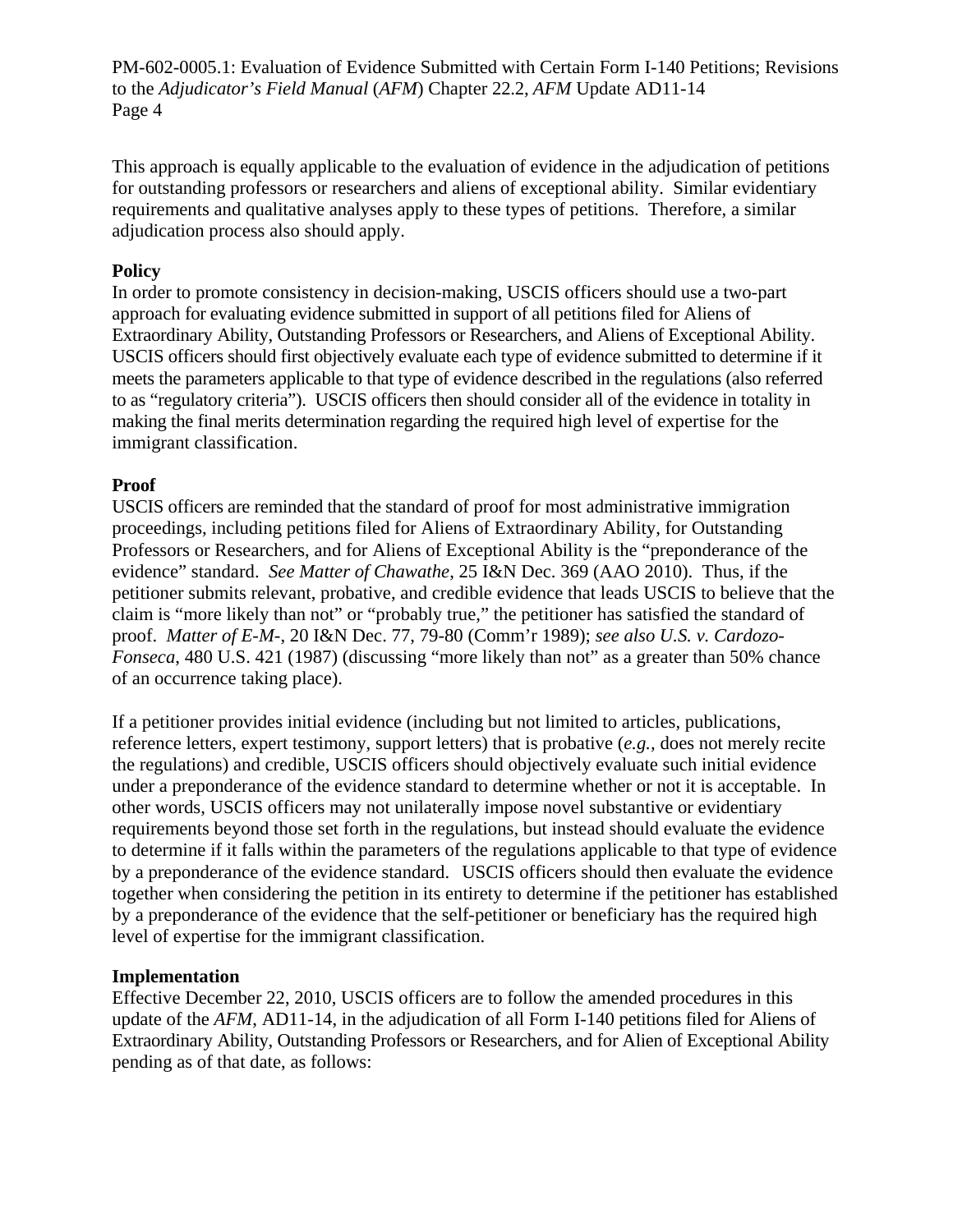This approach is equally applicable to the evaluation of evidence in the adjudication of petitions for outstanding professors or researchers and aliens of exceptional ability. Similar evidentiary requirements and qualitative analyses apply to these types of petitions. Therefore, a similar adjudication process also should apply.

## **Policy**

In order to promote consistency in decision-making, USCIS officers should use a two-part approach for evaluating evidence submitted in support of all petitions filed for Aliens of Extraordinary Ability, Outstanding Professors or Researchers, and Aliens of Exceptional Ability. USCIS officers should first objectively evaluate each type of evidence submitted to determine if it meets the parameters applicable to that type of evidence described in the regulations (also referred to as "regulatory criteria"). USCIS officers then should consider all of the evidence in totality in making the final merits determination regarding the required high level of expertise for the immigrant classification.

## **Proof**

USCIS officers are reminded that the standard of proof for most administrative immigration proceedings, including petitions filed for Aliens of Extraordinary Ability, for Outstanding Professors or Researchers, and for Aliens of Exceptional Ability is the "preponderance of the evidence" standard. *See Matter of Chawathe*, 25 I&N Dec. 369 (AAO 2010). Thus, if the petitioner submits relevant, probative, and credible evidence that leads USCIS to believe that the claim is "more likely than not" or "probably true," the petitioner has satisfied the standard of proof. *Matter of E-M-*, 20 I&N Dec. 77, 79-80 (Comm'r 1989); *see also [U.S. v. Cardozo-](http://www.uscis.gov/ilink/docView/INT/HTML/INT/0-0-0-65/0-0-0-3661.html#0-0-0-294)[Fonseca](http://www.uscis.gov/ilink/docView/INT/HTML/INT/0-0-0-65/0-0-0-3661.html#0-0-0-294)*, 480 U.S. 421 (1987) (discussing "more likely than not" as a greater than 50% chance of an occurrence taking place).

If a petitioner provides initial evidence (including but not limited to articles, publications, reference letters, expert testimony, support letters) that is probative (*e.g.,* does not merely recite the regulations) and credible, USCIS officers should objectively evaluate such initial evidence under a preponderance of the evidence standard to determine whether or not it is acceptable. In other words, USCIS officers may not unilaterally impose novel substantive or evidentiary requirements beyond those set forth in the regulations, but instead should evaluate the evidence to determine if it falls within the parameters of the regulations applicable to that type of evidence by a preponderance of the evidence standard. USCIS officers should then evaluate the evidence together when considering the petition in its entirety to determine if the petitioner has established by a preponderance of the evidence that the self-petitioner or beneficiary has the required high level of expertise for the immigrant classification.

### **Implementation**

Effective December 22, 2010, USCIS officers are to follow the amended procedures in this update of the *AFM*, AD11-14, in the adjudication of all Form I-140 petitions filed for Aliens of Extraordinary Ability, Outstanding Professors or Researchers, and for Alien of Exceptional Ability pending as of that date, as follows: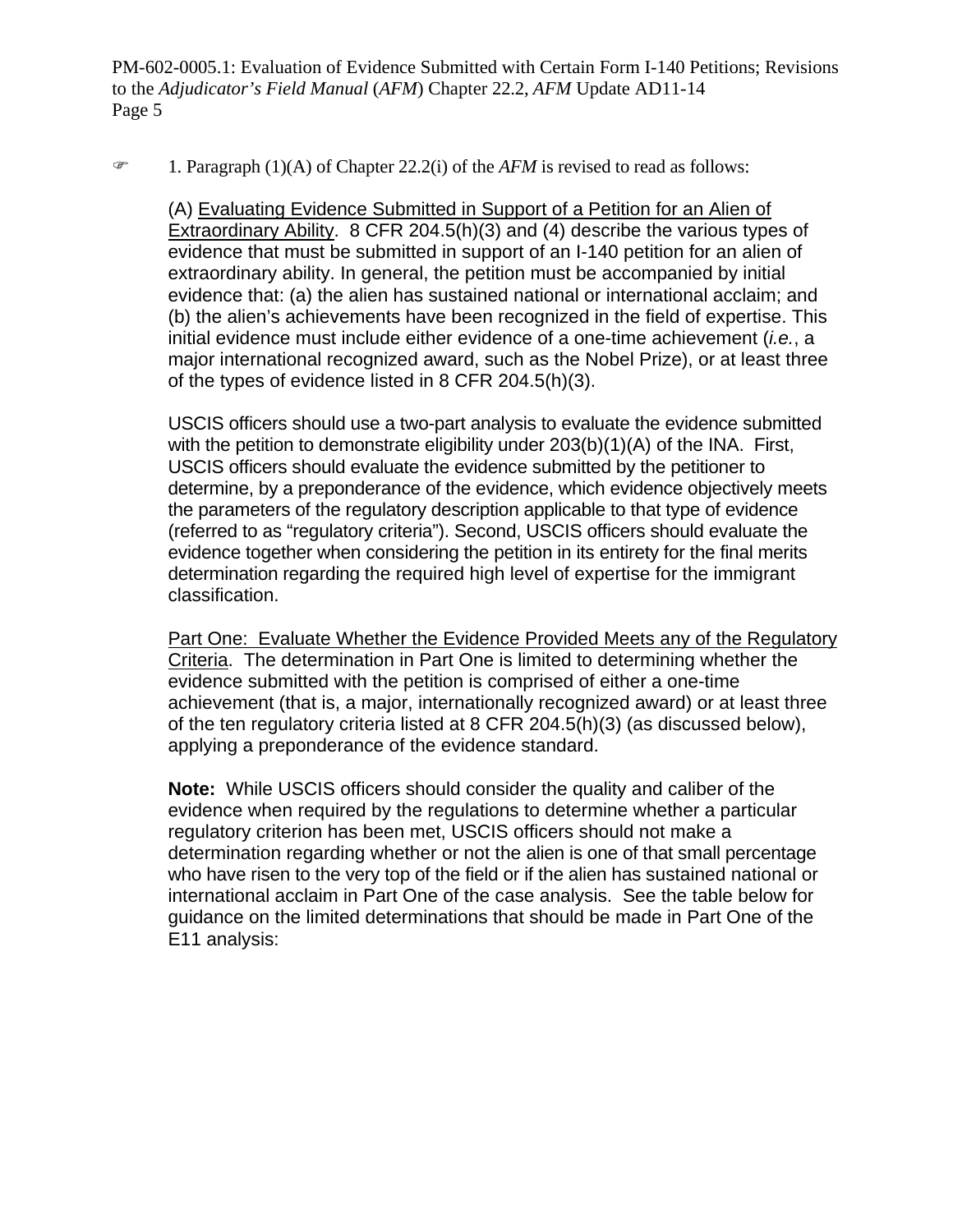1. Paragraph (1)(A) of Chapter 22.2(i) of the *AFM* is revised to read as follows:

(A) Evaluating Evidence Submitted in Support of a Petition for an Alien of Extraordinary Ability. 8 CFR 204.5(h)(3) and (4) describe the various types of evidence that must be submitted in support of an I-140 petition for an alien of extraordinary ability. In general, the petition must be accompanied by initial evidence that: (a) the alien has sustained national or international acclaim; and (b) the alien's achievements have been recognized in the field of expertise. This initial evidence must include either evidence of a one-time achievement (*i.e.*, a major international recognized award, such as the Nobel Prize), or at least three of the types of evidence listed in 8 CFR 204.5(h)(3).

USCIS officers should use a two-part analysis to evaluate the evidence submitted with the petition to demonstrate eligibility under 203(b)(1)(A) of the INA. First, USCIS officers should evaluate the evidence submitted by the petitioner to determine, by a preponderance of the evidence, which evidence objectively meets the parameters of the regulatory description applicable to that type of evidence (referred to as "regulatory criteria"). Second, USCIS officers should evaluate the evidence together when considering the petition in its entirety for the final merits determination regarding the required high level of expertise for the immigrant classification.

Part One: Evaluate Whether the Evidence Provided Meets any of the Regulatory Criteria. The determination in Part One is limited to determining whether the evidence submitted with the petition is comprised of either a one-time achievement (that is, a major, internationally recognized award) or at least three of the ten regulatory criteria listed at 8 CFR 204.5(h)(3) (as discussed below), applying a preponderance of the evidence standard.

**Note:** While USCIS officers should consider the quality and caliber of the evidence when required by the regulations to determine whether a particular regulatory criterion has been met, USCIS officers should not make a determination regarding whether or not the alien is one of that small percentage who have risen to the very top of the field or if the alien has sustained national or international acclaim in Part One of the case analysis. See the table below for guidance on the limited determinations that should be made in Part One of the E11 analysis: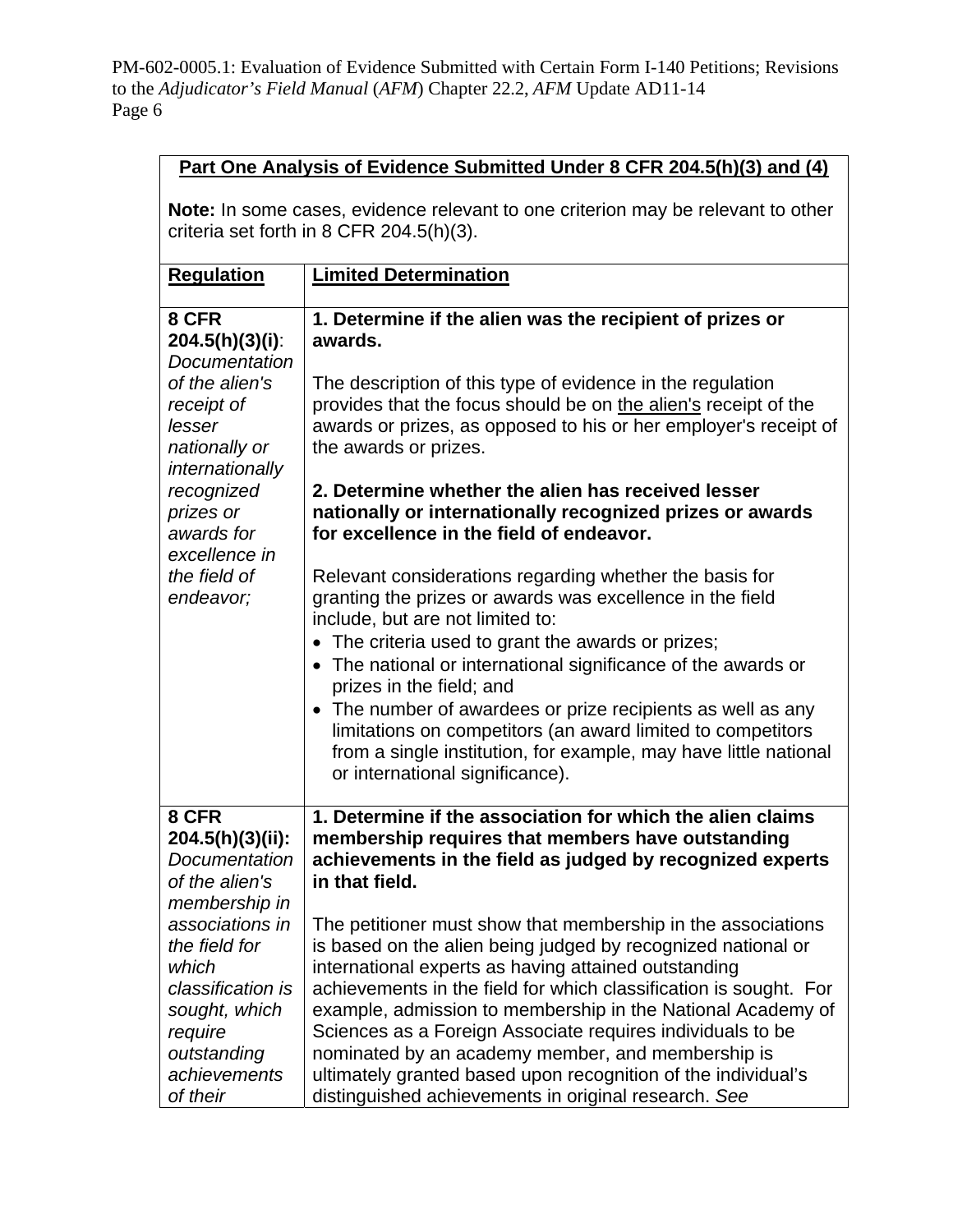| Part One Analysis of Evidence Submitted Under 8 CFR 204.5(h)(3) and (4)                                                                                                                                           |                                                                                                                                                                                                                                                                                                                                                                                                                                                                                                                                                                                                                                                                                                                                                                                                                                                                                                                                                                                                                      |  |  |
|-------------------------------------------------------------------------------------------------------------------------------------------------------------------------------------------------------------------|----------------------------------------------------------------------------------------------------------------------------------------------------------------------------------------------------------------------------------------------------------------------------------------------------------------------------------------------------------------------------------------------------------------------------------------------------------------------------------------------------------------------------------------------------------------------------------------------------------------------------------------------------------------------------------------------------------------------------------------------------------------------------------------------------------------------------------------------------------------------------------------------------------------------------------------------------------------------------------------------------------------------|--|--|
| Note: In some cases, evidence relevant to one criterion may be relevant to other<br>criteria set forth in 8 CFR 204.5(h)(3).                                                                                      |                                                                                                                                                                                                                                                                                                                                                                                                                                                                                                                                                                                                                                                                                                                                                                                                                                                                                                                                                                                                                      |  |  |
| <b>Regulation</b>                                                                                                                                                                                                 | <b>Limited Determination</b>                                                                                                                                                                                                                                                                                                                                                                                                                                                                                                                                                                                                                                                                                                                                                                                                                                                                                                                                                                                         |  |  |
| 8 CFR<br>$204.5(h)(3)(i)$ :<br>Documentation<br>of the alien's<br>receipt of<br>lesser<br>nationally or<br>internationally<br>recognized<br>prizes or<br>awards for<br>excellence in<br>the field of<br>endeavor; | 1. Determine if the alien was the recipient of prizes or<br>awards.<br>The description of this type of evidence in the regulation<br>provides that the focus should be on the alien's receipt of the<br>awards or prizes, as opposed to his or her employer's receipt of<br>the awards or prizes.<br>2. Determine whether the alien has received lesser<br>nationally or internationally recognized prizes or awards<br>for excellence in the field of endeavor.<br>Relevant considerations regarding whether the basis for<br>granting the prizes or awards was excellence in the field<br>include, but are not limited to:<br>• The criteria used to grant the awards or prizes;<br>• The national or international significance of the awards or<br>prizes in the field; and<br>• The number of awardees or prize recipients as well as any<br>limitations on competitors (an award limited to competitors<br>from a single institution, for example, may have little national<br>or international significance). |  |  |
| 8 CFR<br>204.5(h)(3)(ii):<br>Documentation<br>of the alien's<br>membership in                                                                                                                                     | 1. Determine if the association for which the alien claims<br>membership requires that members have outstanding<br>achievements in the field as judged by recognized experts<br>in that field.                                                                                                                                                                                                                                                                                                                                                                                                                                                                                                                                                                                                                                                                                                                                                                                                                       |  |  |
| associations in<br>the field for<br>which<br>classification is<br>sought, which<br>require<br>outstanding<br>achievements<br>of their                                                                             | The petitioner must show that membership in the associations<br>is based on the alien being judged by recognized national or<br>international experts as having attained outstanding<br>achievements in the field for which classification is sought. For<br>example, admission to membership in the National Academy of<br>Sciences as a Foreign Associate requires individuals to be<br>nominated by an academy member, and membership is<br>ultimately granted based upon recognition of the individual's<br>distinguished achievements in original research. See                                                                                                                                                                                                                                                                                                                                                                                                                                                 |  |  |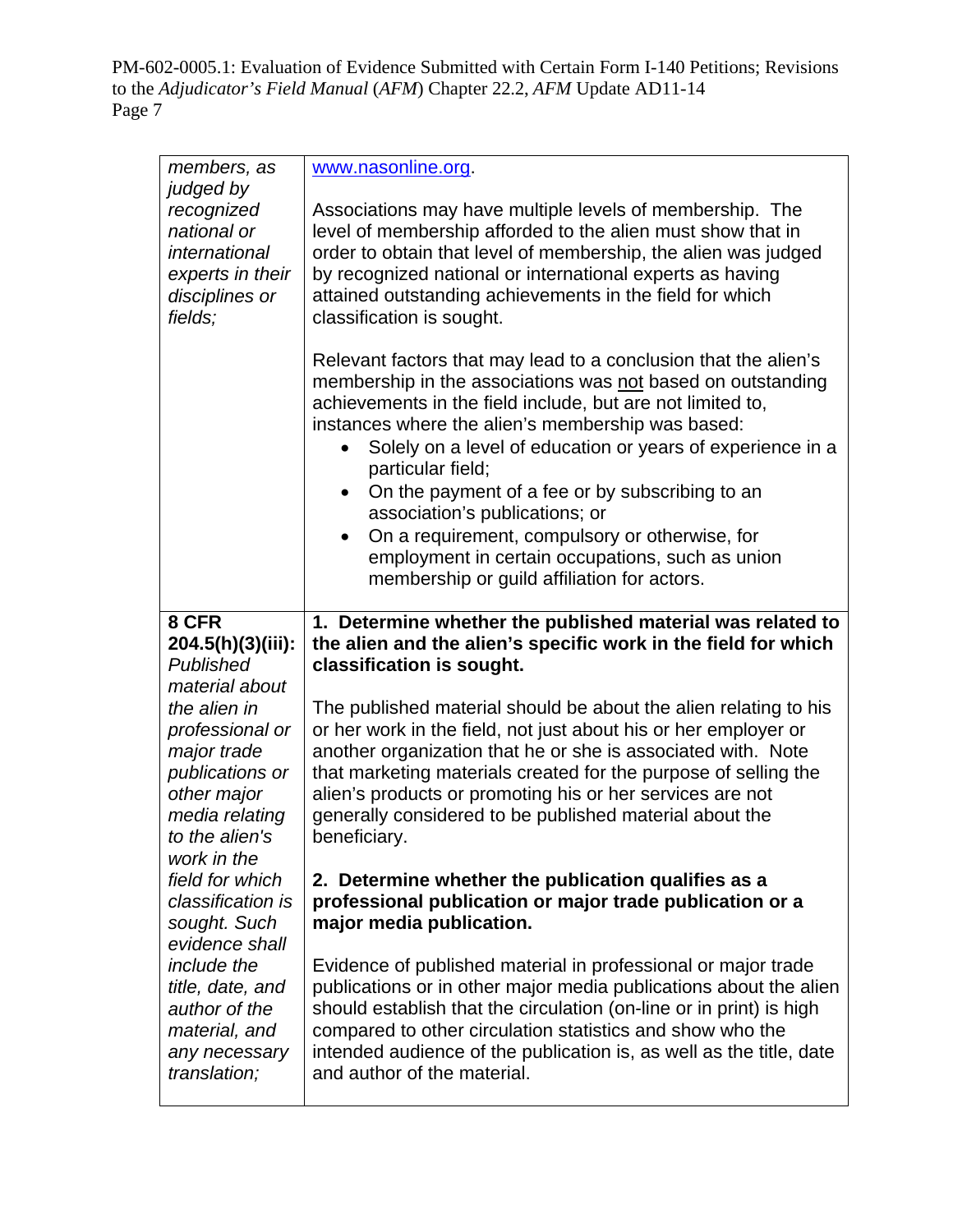| members, as                                                                                                                                           | www.nasonline.org.                                                                                                                                                                                                                                                                                                                                                                                                                                                                                                                                                                                       |  |  |
|-------------------------------------------------------------------------------------------------------------------------------------------------------|----------------------------------------------------------------------------------------------------------------------------------------------------------------------------------------------------------------------------------------------------------------------------------------------------------------------------------------------------------------------------------------------------------------------------------------------------------------------------------------------------------------------------------------------------------------------------------------------------------|--|--|
| judged by<br>recognized<br>national or<br>international<br>experts in their<br>disciplines or<br>fields;                                              | Associations may have multiple levels of membership. The<br>level of membership afforded to the alien must show that in<br>order to obtain that level of membership, the alien was judged<br>by recognized national or international experts as having<br>attained outstanding achievements in the field for which<br>classification is sought.                                                                                                                                                                                                                                                          |  |  |
|                                                                                                                                                       | Relevant factors that may lead to a conclusion that the alien's<br>membership in the associations was not based on outstanding<br>achievements in the field include, but are not limited to,<br>instances where the alien's membership was based:<br>Solely on a level of education or years of experience in a<br>particular field;<br>On the payment of a fee or by subscribing to an<br>$\bullet$<br>association's publications; or<br>On a requirement, compulsory or otherwise, for<br>$\bullet$<br>employment in certain occupations, such as union<br>membership or guild affiliation for actors. |  |  |
| 8 CFR                                                                                                                                                 | 1. Determine whether the published material was related to                                                                                                                                                                                                                                                                                                                                                                                                                                                                                                                                               |  |  |
| 204.5(h)(3)(iii):<br>Published                                                                                                                        | the alien and the alien's specific work in the field for which<br>classification is sought.                                                                                                                                                                                                                                                                                                                                                                                                                                                                                                              |  |  |
| material about<br>the alien in<br>professional or<br>major trade<br>publications or<br>other major<br>media relating<br>to the alien's<br>work in the | The published material should be about the alien relating to his<br>or her work in the field, not just about his or her employer or<br>another organization that he or she is associated with. Note<br>that marketing materials created for the purpose of selling the<br>alien's products or promoting his or her services are not<br>generally considered to be published material about the<br>beneficiary.                                                                                                                                                                                           |  |  |
| field for which<br>classification is<br>sought. Such                                                                                                  | 2. Determine whether the publication qualifies as a<br>professional publication or major trade publication or a<br>major media publication.                                                                                                                                                                                                                                                                                                                                                                                                                                                              |  |  |
| evidence shall<br>include the<br>title, date, and<br>author of the<br>material, and<br>any necessary<br>translation;                                  | Evidence of published material in professional or major trade<br>publications or in other major media publications about the alien<br>should establish that the circulation (on-line or in print) is high<br>compared to other circulation statistics and show who the<br>intended audience of the publication is, as well as the title, date<br>and author of the material.                                                                                                                                                                                                                             |  |  |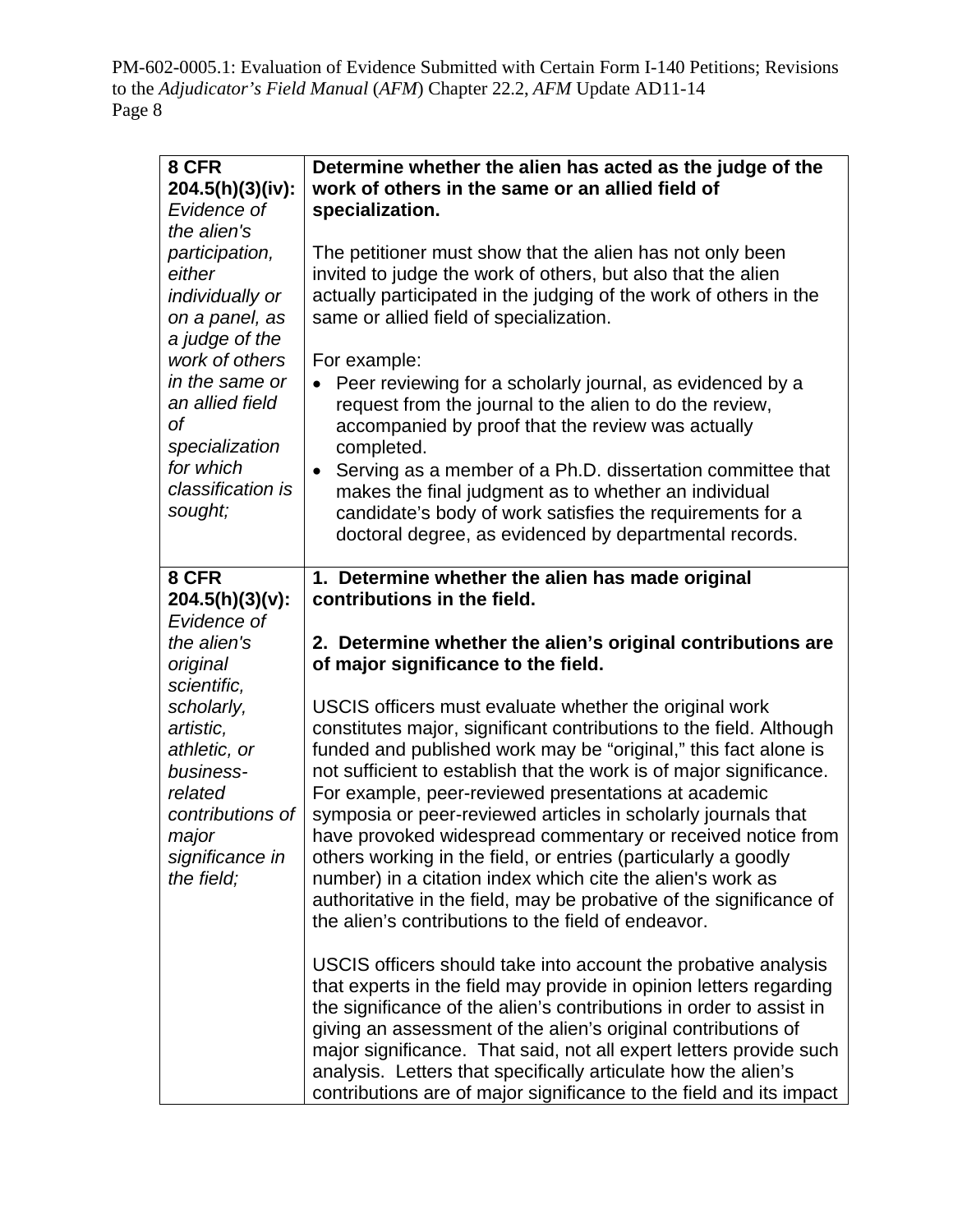| 8 CFR<br>204.5(h)(3)(iv):<br>Evidence of<br>the alien's                                                                       | Determine whether the alien has acted as the judge of the<br>work of others in the same or an allied field of<br>specialization.                                                                                                                                                                                                                                                                                                                                                                                                                                                                                                                                                                                              |  |  |
|-------------------------------------------------------------------------------------------------------------------------------|-------------------------------------------------------------------------------------------------------------------------------------------------------------------------------------------------------------------------------------------------------------------------------------------------------------------------------------------------------------------------------------------------------------------------------------------------------------------------------------------------------------------------------------------------------------------------------------------------------------------------------------------------------------------------------------------------------------------------------|--|--|
| participation,<br>either<br>individually or<br>on a panel, as<br>a judge of the                                               | The petitioner must show that the alien has not only been<br>invited to judge the work of others, but also that the alien<br>actually participated in the judging of the work of others in the<br>same or allied field of specialization.                                                                                                                                                                                                                                                                                                                                                                                                                                                                                     |  |  |
| work of others<br>in the same or<br>an allied field<br>Οf<br>specialization<br>for which<br>classification is<br>sought;      | For example:<br>Peer reviewing for a scholarly journal, as evidenced by a<br>request from the journal to the alien to do the review,<br>accompanied by proof that the review was actually<br>completed.<br>Serving as a member of a Ph.D. dissertation committee that<br>$\bullet$<br>makes the final judgment as to whether an individual<br>candidate's body of work satisfies the requirements for a<br>doctoral degree, as evidenced by departmental records.                                                                                                                                                                                                                                                             |  |  |
| 8 CFR<br>$204.5(h)(3)(v)$ :                                                                                                   | 1. Determine whether the alien has made original<br>contributions in the field.                                                                                                                                                                                                                                                                                                                                                                                                                                                                                                                                                                                                                                               |  |  |
| Evidence of<br>the alien's<br>original<br>scientific,                                                                         | 2. Determine whether the alien's original contributions are<br>of major significance to the field.                                                                                                                                                                                                                                                                                                                                                                                                                                                                                                                                                                                                                            |  |  |
| scholarly,<br>artistic,<br>athletic, or<br>business-<br>related<br>contributions of<br>major<br>significance in<br>the field; | USCIS officers must evaluate whether the original work<br>constitutes major, significant contributions to the field. Although<br>funded and published work may be "original," this fact alone is<br>not sufficient to establish that the work is of major significance.<br>For example, peer-reviewed presentations at academic<br>symposia or peer-reviewed articles in scholarly journals that<br>have provoked widespread commentary or received notice from<br>others working in the field, or entries (particularly a goodly<br>number) in a citation index which cite the alien's work as<br>authoritative in the field, may be probative of the significance of<br>the alien's contributions to the field of endeavor. |  |  |
|                                                                                                                               | USCIS officers should take into account the probative analysis<br>that experts in the field may provide in opinion letters regarding<br>the significance of the alien's contributions in order to assist in<br>giving an assessment of the alien's original contributions of<br>major significance. That said, not all expert letters provide such<br>analysis. Letters that specifically articulate how the alien's<br>contributions are of major significance to the field and its impact                                                                                                                                                                                                                                   |  |  |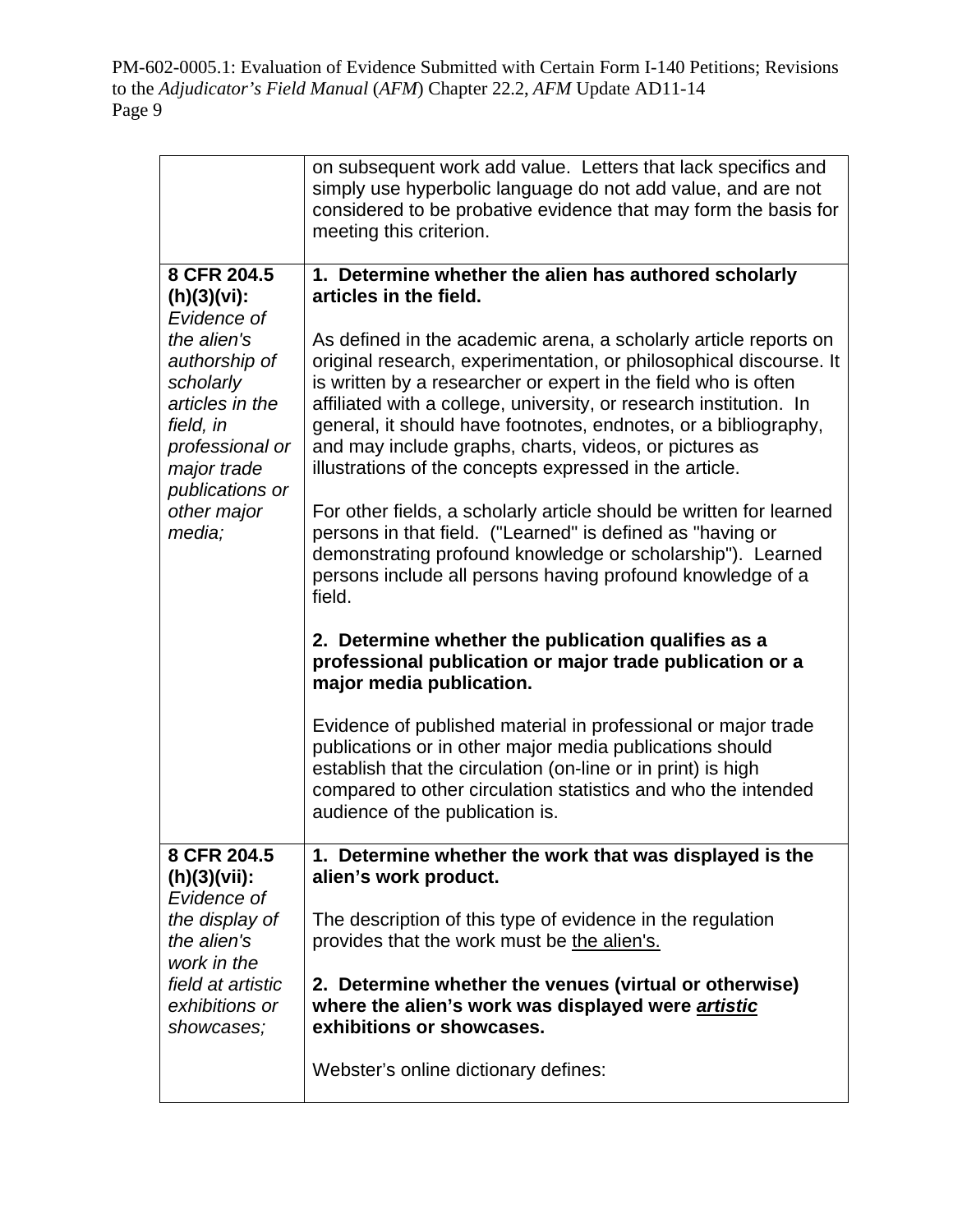|                                                                                                                                                                                                      | on subsequent work add value. Letters that lack specifics and<br>simply use hyperbolic language do not add value, and are not<br>considered to be probative evidence that may form the basis for<br>meeting this criterion.                                                                                                                                                                                                                                                                                                                                                                                                                                                                                                                                                                                                                                                                                                                                                                                                                                                                                                                                                                                                                                                          |
|------------------------------------------------------------------------------------------------------------------------------------------------------------------------------------------------------|--------------------------------------------------------------------------------------------------------------------------------------------------------------------------------------------------------------------------------------------------------------------------------------------------------------------------------------------------------------------------------------------------------------------------------------------------------------------------------------------------------------------------------------------------------------------------------------------------------------------------------------------------------------------------------------------------------------------------------------------------------------------------------------------------------------------------------------------------------------------------------------------------------------------------------------------------------------------------------------------------------------------------------------------------------------------------------------------------------------------------------------------------------------------------------------------------------------------------------------------------------------------------------------|
| 8 CFR 204.5<br>(h)(3)(vi):<br>Evidence of<br>the alien's<br>authorship of<br>scholarly<br>articles in the<br>field, in<br>professional or<br>major trade<br>publications or<br>other major<br>media; | 1. Determine whether the alien has authored scholarly<br>articles in the field.<br>As defined in the academic arena, a scholarly article reports on<br>original research, experimentation, or philosophical discourse. It<br>is written by a researcher or expert in the field who is often<br>affiliated with a college, university, or research institution. In<br>general, it should have footnotes, endnotes, or a bibliography,<br>and may include graphs, charts, videos, or pictures as<br>illustrations of the concepts expressed in the article.<br>For other fields, a scholarly article should be written for learned<br>persons in that field. ("Learned" is defined as "having or<br>demonstrating profound knowledge or scholarship"). Learned<br>persons include all persons having profound knowledge of a<br>field.<br>2. Determine whether the publication qualifies as a<br>professional publication or major trade publication or a<br>major media publication.<br>Evidence of published material in professional or major trade<br>publications or in other major media publications should<br>establish that the circulation (on-line or in print) is high<br>compared to other circulation statistics and who the intended<br>audience of the publication is. |
| 8 CFR 204.5<br>(h)(3)(vii):<br>Evidence of<br>the display of<br>the alien's<br>work in the<br>field at artistic<br>exhibitions or<br>showcases;                                                      | 1. Determine whether the work that was displayed is the<br>alien's work product.<br>The description of this type of evidence in the regulation<br>provides that the work must be the alien's.<br>2. Determine whether the venues (virtual or otherwise)<br>where the alien's work was displayed were <i>artistic</i><br>exhibitions or showcases.<br>Webster's online dictionary defines:                                                                                                                                                                                                                                                                                                                                                                                                                                                                                                                                                                                                                                                                                                                                                                                                                                                                                            |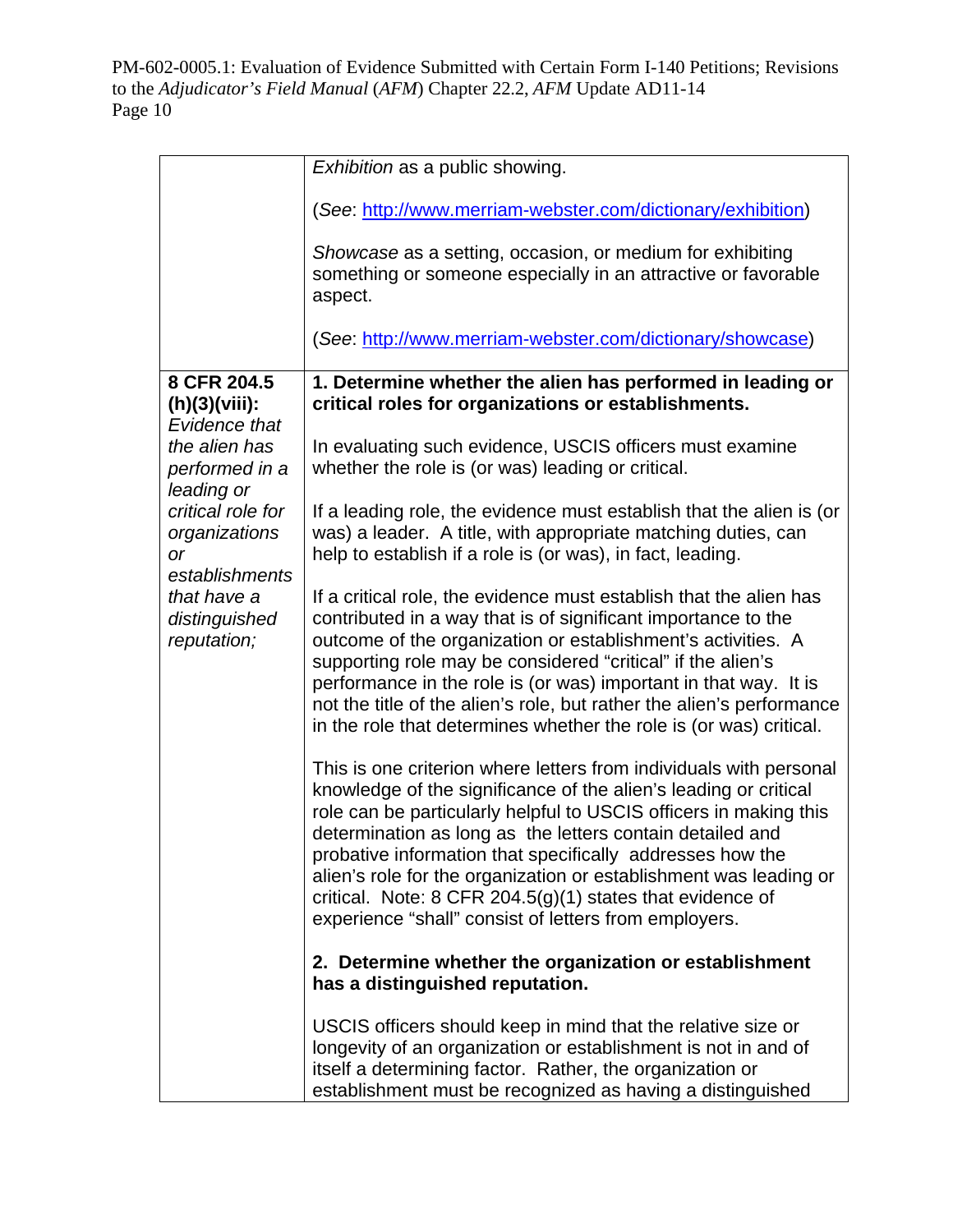|                                                                                                                                | Exhibition as a public showing.                                                                                                                                                                                                                                                                                                                                                                                                                                                                                                  |
|--------------------------------------------------------------------------------------------------------------------------------|----------------------------------------------------------------------------------------------------------------------------------------------------------------------------------------------------------------------------------------------------------------------------------------------------------------------------------------------------------------------------------------------------------------------------------------------------------------------------------------------------------------------------------|
|                                                                                                                                | (See: http://www.merriam-webster.com/dictionary/exhibition)                                                                                                                                                                                                                                                                                                                                                                                                                                                                      |
|                                                                                                                                | Showcase as a setting, occasion, or medium for exhibiting<br>something or someone especially in an attractive or favorable<br>aspect.                                                                                                                                                                                                                                                                                                                                                                                            |
|                                                                                                                                | (See: http://www.merriam-webster.com/dictionary/showcase)                                                                                                                                                                                                                                                                                                                                                                                                                                                                        |
| 8 CFR 204.5<br>(h)(3)(viii):<br>Evidence that                                                                                  | 1. Determine whether the alien has performed in leading or<br>critical roles for organizations or establishments.                                                                                                                                                                                                                                                                                                                                                                                                                |
| the alien has<br>performed in a                                                                                                | In evaluating such evidence, USCIS officers must examine<br>whether the role is (or was) leading or critical.                                                                                                                                                                                                                                                                                                                                                                                                                    |
| leading or<br>critical role for<br>organizations<br><b>or</b><br>establishments<br>that have a<br>distinguished<br>reputation; | If a leading role, the evidence must establish that the alien is (or<br>was) a leader. A title, with appropriate matching duties, can<br>help to establish if a role is (or was), in fact, leading.                                                                                                                                                                                                                                                                                                                              |
|                                                                                                                                | If a critical role, the evidence must establish that the alien has<br>contributed in a way that is of significant importance to the<br>outcome of the organization or establishment's activities. A<br>supporting role may be considered "critical" if the alien's<br>performance in the role is (or was) important in that way. It is<br>not the title of the alien's role, but rather the alien's performance<br>in the role that determines whether the role is (or was) critical.                                            |
|                                                                                                                                | This is one criterion where letters from individuals with personal<br>knowledge of the significance of the alien's leading or critical<br>role can be particularly helpful to USCIS officers in making this<br>determination as long as the letters contain detailed and<br>probative information that specifically addresses how the<br>alien's role for the organization or establishment was leading or<br>critical. Note: 8 CFR 204.5(g)(1) states that evidence of<br>experience "shall" consist of letters from employers. |
|                                                                                                                                | 2. Determine whether the organization or establishment<br>has a distinguished reputation.                                                                                                                                                                                                                                                                                                                                                                                                                                        |
|                                                                                                                                | USCIS officers should keep in mind that the relative size or<br>longevity of an organization or establishment is not in and of<br>itself a determining factor. Rather, the organization or<br>establishment must be recognized as having a distinguished                                                                                                                                                                                                                                                                         |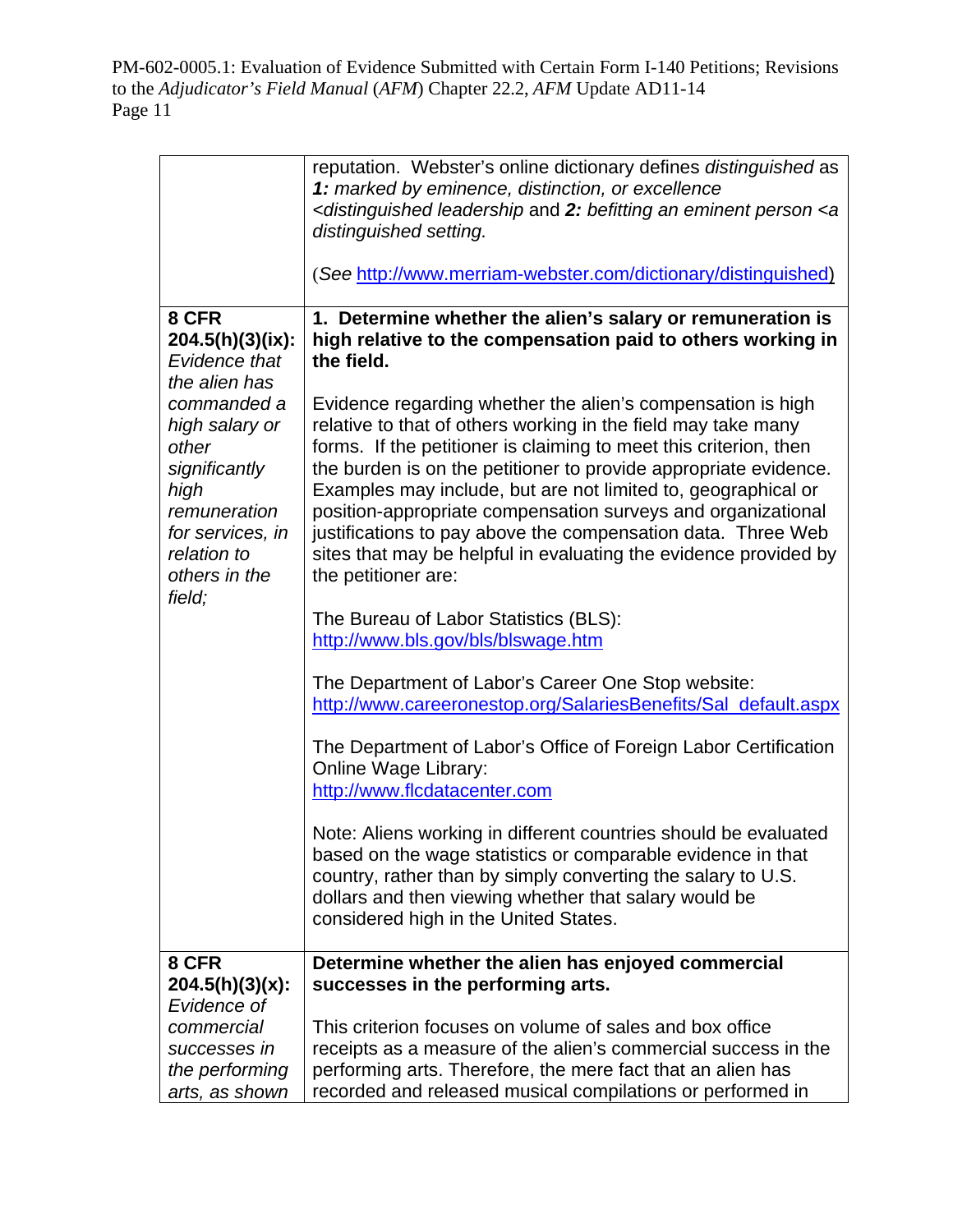|                                                                                                                                                                                                              | reputation. Webster's online dictionary defines distinguished as<br>1: marked by eminence, distinction, or excellence<br><distinguished 2:="" <a<br="" an="" and="" befitting="" eminent="" leadership="" person="">distinguished setting.<br/>(See http://www.merriam-webster.com/dictionary/distinguished)</distinguished>                                                                                                                                                                                                                                                                                                                                                                                                                                                                                                                                                                                                                                                                                                                                                                                                                                                                                                                                                                                                                       |
|--------------------------------------------------------------------------------------------------------------------------------------------------------------------------------------------------------------|----------------------------------------------------------------------------------------------------------------------------------------------------------------------------------------------------------------------------------------------------------------------------------------------------------------------------------------------------------------------------------------------------------------------------------------------------------------------------------------------------------------------------------------------------------------------------------------------------------------------------------------------------------------------------------------------------------------------------------------------------------------------------------------------------------------------------------------------------------------------------------------------------------------------------------------------------------------------------------------------------------------------------------------------------------------------------------------------------------------------------------------------------------------------------------------------------------------------------------------------------------------------------------------------------------------------------------------------------|
|                                                                                                                                                                                                              |                                                                                                                                                                                                                                                                                                                                                                                                                                                                                                                                                                                                                                                                                                                                                                                                                                                                                                                                                                                                                                                                                                                                                                                                                                                                                                                                                    |
| 8 CFR<br>204.5(h)(3)(ix):<br>Evidence that<br>the alien has<br>commanded a<br>high salary or<br>other<br>significantly<br>high<br>remuneration<br>for services, in<br>relation to<br>others in the<br>field; | 1. Determine whether the alien's salary or remuneration is<br>high relative to the compensation paid to others working in<br>the field.<br>Evidence regarding whether the alien's compensation is high<br>relative to that of others working in the field may take many<br>forms. If the petitioner is claiming to meet this criterion, then<br>the burden is on the petitioner to provide appropriate evidence.<br>Examples may include, but are not limited to, geographical or<br>position-appropriate compensation surveys and organizational<br>justifications to pay above the compensation data. Three Web<br>sites that may be helpful in evaluating the evidence provided by<br>the petitioner are:<br>The Bureau of Labor Statistics (BLS):<br>http://www.bls.gov/bls/blswage.htm<br>The Department of Labor's Career One Stop website:<br>http://www.careeronestop.org/SalariesBenefits/Sal_default.aspx<br>The Department of Labor's Office of Foreign Labor Certification<br>Online Wage Library:<br>http://www.flcdatacenter.com<br>Note: Aliens working in different countries should be evaluated<br>based on the wage statistics or comparable evidence in that<br>country, rather than by simply converting the salary to U.S.<br>dollars and then viewing whether that salary would be<br>considered high in the United States. |
| 8 CFR<br>$204.5(h)(3)(x)$ :                                                                                                                                                                                  | Determine whether the alien has enjoyed commercial<br>successes in the performing arts.                                                                                                                                                                                                                                                                                                                                                                                                                                                                                                                                                                                                                                                                                                                                                                                                                                                                                                                                                                                                                                                                                                                                                                                                                                                            |
| Evidence of                                                                                                                                                                                                  |                                                                                                                                                                                                                                                                                                                                                                                                                                                                                                                                                                                                                                                                                                                                                                                                                                                                                                                                                                                                                                                                                                                                                                                                                                                                                                                                                    |
| commercial                                                                                                                                                                                                   | This criterion focuses on volume of sales and box office                                                                                                                                                                                                                                                                                                                                                                                                                                                                                                                                                                                                                                                                                                                                                                                                                                                                                                                                                                                                                                                                                                                                                                                                                                                                                           |
| successes in                                                                                                                                                                                                 | receipts as a measure of the alien's commercial success in the                                                                                                                                                                                                                                                                                                                                                                                                                                                                                                                                                                                                                                                                                                                                                                                                                                                                                                                                                                                                                                                                                                                                                                                                                                                                                     |
| the performing                                                                                                                                                                                               | performing arts. Therefore, the mere fact that an alien has                                                                                                                                                                                                                                                                                                                                                                                                                                                                                                                                                                                                                                                                                                                                                                                                                                                                                                                                                                                                                                                                                                                                                                                                                                                                                        |
| arts, as shown                                                                                                                                                                                               | recorded and released musical compilations or performed in                                                                                                                                                                                                                                                                                                                                                                                                                                                                                                                                                                                                                                                                                                                                                                                                                                                                                                                                                                                                                                                                                                                                                                                                                                                                                         |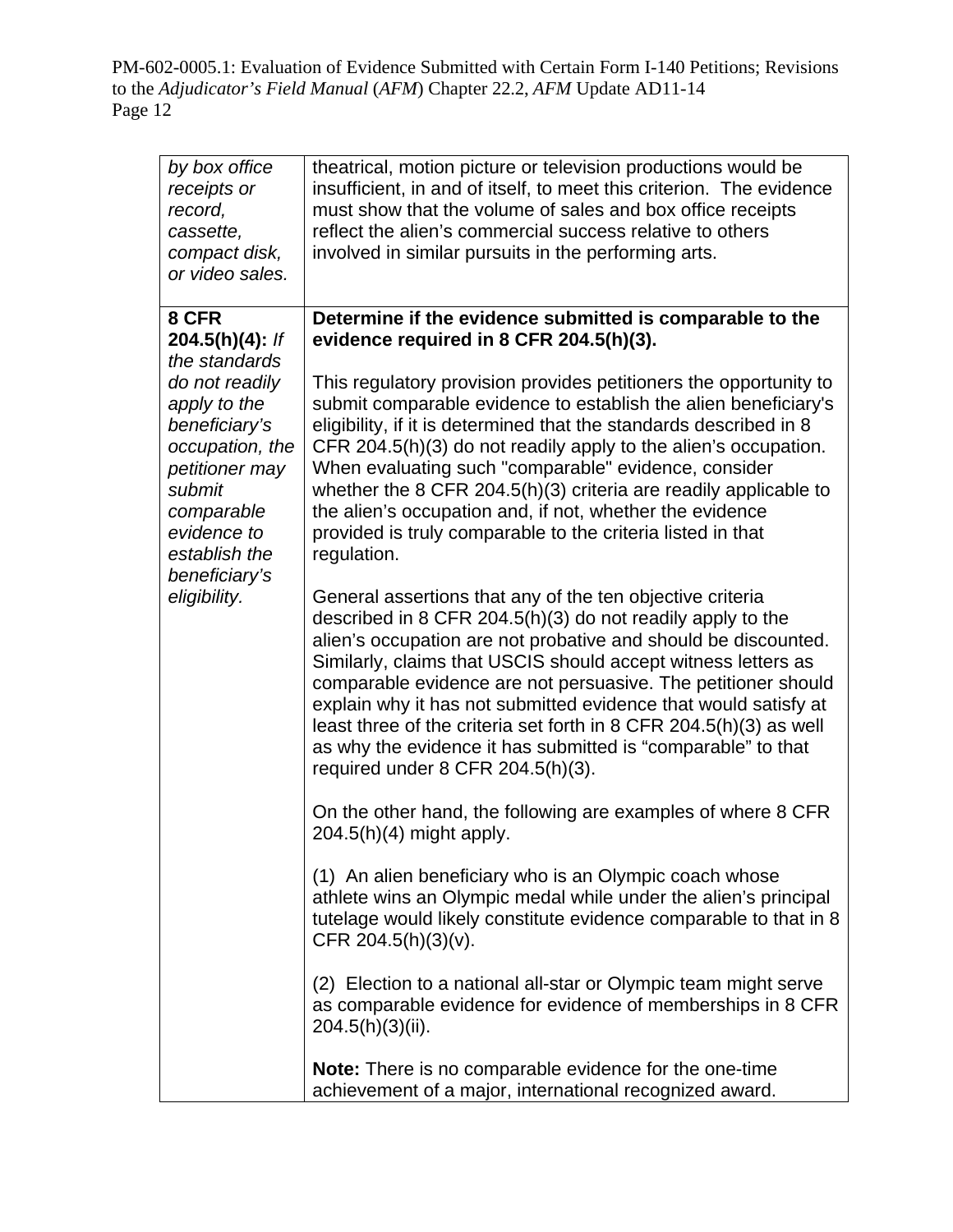| by box office<br>receipts or<br>record,<br>cassette,<br>compact disk,<br>or video sales.                                                                      | theatrical, motion picture or television productions would be<br>insufficient, in and of itself, to meet this criterion. The evidence<br>must show that the volume of sales and box office receipts<br>reflect the alien's commercial success relative to others<br>involved in similar pursuits in the performing arts.                                                                                                                                                                                                                                                     |
|---------------------------------------------------------------------------------------------------------------------------------------------------------------|------------------------------------------------------------------------------------------------------------------------------------------------------------------------------------------------------------------------------------------------------------------------------------------------------------------------------------------------------------------------------------------------------------------------------------------------------------------------------------------------------------------------------------------------------------------------------|
| 8 CFR<br>204.5(h)(4): If                                                                                                                                      | Determine if the evidence submitted is comparable to the<br>evidence required in 8 CFR 204.5(h)(3).                                                                                                                                                                                                                                                                                                                                                                                                                                                                          |
| the standards<br>do not readily<br>apply to the<br>beneficiary's<br>occupation, the<br>petitioner may<br>submit<br>comparable<br>evidence to<br>establish the | This regulatory provision provides petitioners the opportunity to<br>submit comparable evidence to establish the alien beneficiary's<br>eligibility, if it is determined that the standards described in 8<br>CFR 204.5(h)(3) do not readily apply to the alien's occupation.<br>When evaluating such "comparable" evidence, consider<br>whether the 8 CFR 204.5(h)(3) criteria are readily applicable to<br>the alien's occupation and, if not, whether the evidence<br>provided is truly comparable to the criteria listed in that<br>regulation.                          |
| beneficiary's<br>eligibility.                                                                                                                                 | General assertions that any of the ten objective criteria<br>described in 8 CFR 204.5(h) $(3)$ do not readily apply to the<br>alien's occupation are not probative and should be discounted.<br>Similarly, claims that USCIS should accept witness letters as<br>comparable evidence are not persuasive. The petitioner should<br>explain why it has not submitted evidence that would satisfy at<br>least three of the criteria set forth in 8 CFR 204.5(h)(3) as well<br>as why the evidence it has submitted is "comparable" to that<br>required under 8 CFR 204.5(h)(3). |
|                                                                                                                                                               | On the other hand, the following are examples of where 8 CFR<br>$204.5(h)(4)$ might apply.                                                                                                                                                                                                                                                                                                                                                                                                                                                                                   |
|                                                                                                                                                               | (1) An alien beneficiary who is an Olympic coach whose<br>athlete wins an Olympic medal while under the alien's principal<br>tutelage would likely constitute evidence comparable to that in 8<br>CFR 204.5(h)(3)(v).                                                                                                                                                                                                                                                                                                                                                        |
|                                                                                                                                                               | (2) Election to a national all-star or Olympic team might serve<br>as comparable evidence for evidence of memberships in 8 CFR<br>$204.5(h)(3)(ii)$ .                                                                                                                                                                                                                                                                                                                                                                                                                        |
|                                                                                                                                                               | <b>Note:</b> There is no comparable evidence for the one-time<br>achievement of a major, international recognized award.                                                                                                                                                                                                                                                                                                                                                                                                                                                     |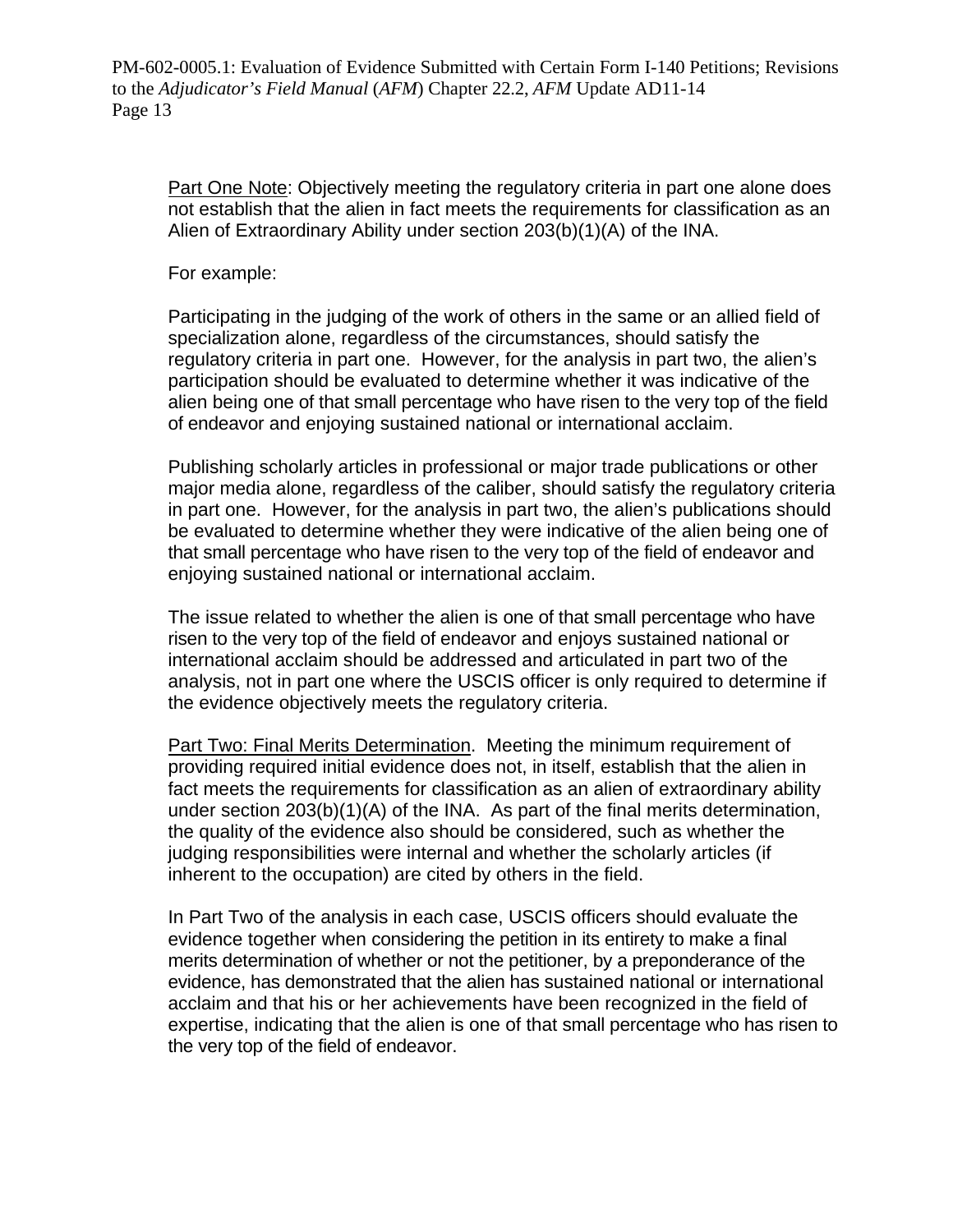Part One Note: Objectively meeting the regulatory criteria in part one alone does not establish that the alien in fact meets the requirements for classification as an Alien of Extraordinary Ability under section 203(b)(1)(A) of the INA.

For example:

Participating in the judging of the work of others in the same or an allied field of specialization alone, regardless of the circumstances, should satisfy the regulatory criteria in part one. However, for the analysis in part two, the alien's participation should be evaluated to determine whether it was indicative of the alien being one of that small percentage who have risen to the very top of the field of endeavor and enjoying sustained national or international acclaim.

Publishing scholarly articles in professional or major trade publications or other major media alone, regardless of the caliber, should satisfy the regulatory criteria in part one. However, for the analysis in part two, the alien's publications should be evaluated to determine whether they were indicative of the alien being one of that small percentage who have risen to the very top of the field of endeavor and enjoying sustained national or international acclaim.

The issue related to whether the alien is one of that small percentage who have risen to the very top of the field of endeavor and enjoys sustained national or international acclaim should be addressed and articulated in part two of the analysis, not in part one where the USCIS officer is only required to determine if the evidence objectively meets the regulatory criteria.

Part Two: Final Merits Determination. Meeting the minimum requirement of providing required initial evidence does not, in itself, establish that the alien in fact meets the requirements for classification as an alien of extraordinary ability under section 203(b)(1)(A) of the INA. As part of the final merits determination, the quality of the evidence also should be considered, such as whether the judging responsibilities were internal and whether the scholarly articles (if inherent to the occupation) are cited by others in the field.

In Part Two of the analysis in each case, USCIS officers should evaluate the evidence together when considering the petition in its entirety to make a final merits determination of whether or not the petitioner, by a preponderance of the evidence, has demonstrated that the alien has sustained national or international acclaim and that his or her achievements have been recognized in the field of expertise, indicating that the alien is one of that small percentage who has risen to the very top of the field of endeavor.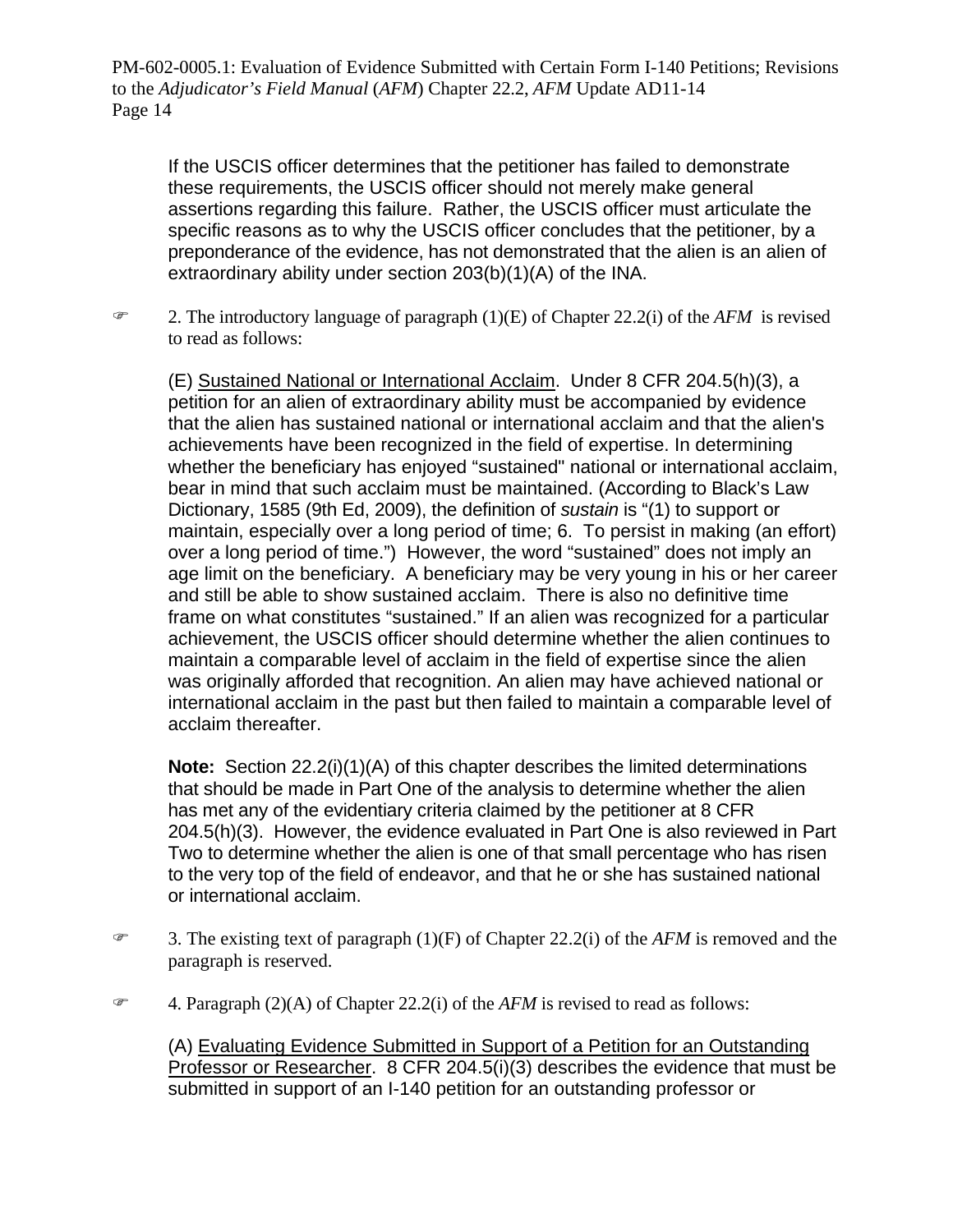If the USCIS officer determines that the petitioner has failed to demonstrate these requirements, the USCIS officer should not merely make general assertions regarding this failure. Rather, the USCIS officer must articulate the specific reasons as to why the USCIS officer concludes that the petitioner, by a preponderance of the evidence, has not demonstrated that the alien is an alien of extraordinary ability under section 203(b)(1)(A) of the INA.

 2. The introductory language of paragraph (1)(E) of Chapter 22.2(i) of the *AFM* is revised to read as follows:

(E) Sustained National or International Acclaim. Under [8 CFR 204.5\(h\)\(3\)](http://www.uscis.gov/ilink/docView/SLB/HTML/SLB/0-0-0-1/0-0-0-11261/0-0-0-12632/0-0-0-13411.html#0-0-0-10683), a petition for an alien of extraordinary ability must be accompanied by evidence that the alien has sustained national or international acclaim and that the alien's achievements have been recognized in the field of expertise. In determining whether the beneficiary has enjoyed "sustained" national or international acclaim, bear in mind that such acclaim must be maintained. (According to Black's Law Dictionary, 1585 (9th Ed, 2009), the definition of *sustain* is "(1) to support or maintain, especially over a long period of time; 6. To persist in making (an effort) over a long period of time.") However, the word "sustained" does not imply an age limit on the beneficiary. A beneficiary may be very young in his or her career and still be able to show sustained acclaim. There is also no definitive time frame on what constitutes "sustained." If an alien was recognized for a particular achievement, the USCIS officer should determine whether the alien continues to maintain a comparable level of acclaim in the field of expertise since the alien was originally afforded that recognition. An alien may have achieved national or international acclaim in the past but then failed to maintain a comparable level of acclaim thereafter.

**Note:** Section 22.2(i)(1)(A) of this chapter describes the limited determinations that should be made in Part One of the analysis to determine whether the alien has met any of the evidentiary criteria claimed by the petitioner at 8 CFR 204.5(h)(3). However, the evidence evaluated in Part One is also reviewed in Part Two to determine whether the alien is one of that small percentage who has risen to the very top of the field of endeavor, and that he or she has sustained national or international acclaim.

- 3. The existing text of paragraph (1)(F) of Chapter 22.2(i) of the *AFM* is removed and the paragraph is reserved.
- 4. Paragraph (2)(A) of Chapter 22.2(i) of the *AFM* is revised to read as follows:

(A) Evaluating Evidence Submitted in Support of a Petition for an Outstanding Professor or Researcher. 8 CFR 204.5(i)(3) describes the evidence that must be submitted in support of an I-140 petition for an outstanding professor or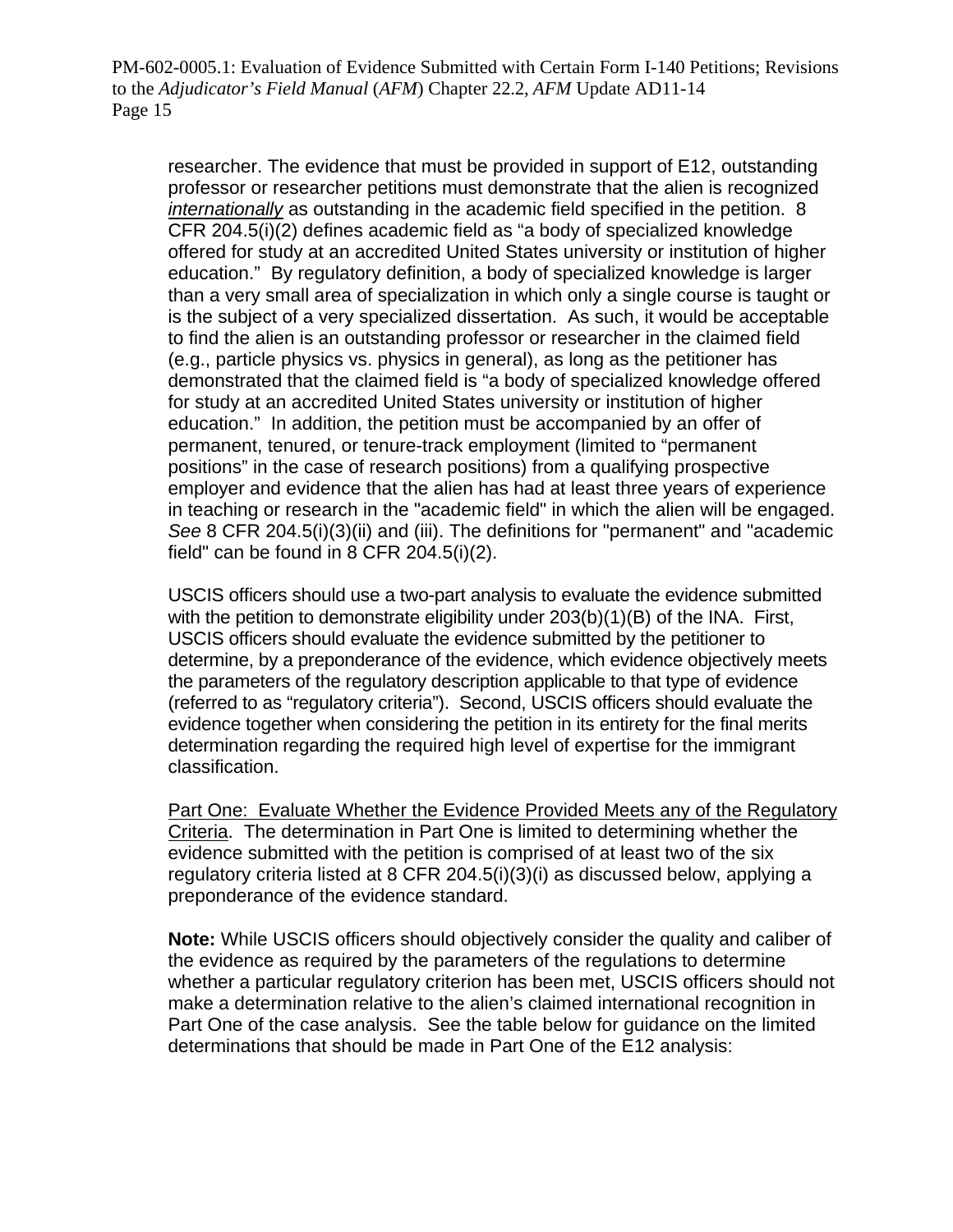researcher. The evidence that must be provided in support of E12, outstanding professor or researcher petitions must demonstrate that the alien is recognized *internationally* as outstanding in the academic field specified in the petition. 8 CFR 204.5(i)(2) defines academic field as "a body of specialized knowledge offered for study at an accredited United States university or institution of higher education." By regulatory definition, a body of specialized knowledge is larger than a very small area of specialization in which only a single course is taught or is the subject of a very specialized dissertation. As such, it would be acceptable to find the alien is an outstanding professor or researcher in the claimed field (e.g., particle physics vs. physics in general), as long as the petitioner has demonstrated that the claimed field is "a body of specialized knowledge offered for study at an accredited United States university or institution of higher education." In addition, the petition must be accompanied by an offer of permanent, tenured, or tenure-track employment (limited to "permanent positions" in the case of research positions) from a qualifying prospective employer and evidence that the alien has had at least three years of experience in teaching or research in the "academic field" in which the alien will be engaged. *See* [8 CFR 204.5\(i\)\(3\)\(ii\) a](http://www.uscis.gov/ilink/docView/SLB/HTML/SLB/0-0-0-1/0-0-0-11261/0-0-0-12632/0-0-0-13411.html#0-0-0-10731)nd [\(iii\)](http://www.uscis.gov/ilink/docView/SLB/HTML/SLB/0-0-0-1/0-0-0-11261/0-0-0-12632/0-0-0-13411.html#0-0-0-10733). The definitions for "permanent" and "academic field" can be found in [8 CFR 204.5\(i\)\(2\)](http://www.uscis.gov/ilink/docView/SLB/HTML/SLB/0-0-0-1/0-0-0-11261/0-0-0-12632/0-0-0-13411.html#0-0-0-10713).

USCIS officers should use a two-part analysis to evaluate the evidence submitted with the petition to demonstrate eligibility under 203(b)(1)(B) of the INA. First, USCIS officers should evaluate the evidence submitted by the petitioner to determine, by a preponderance of the evidence, which evidence objectively meets the parameters of the regulatory description applicable to that type of evidence (referred to as "regulatory criteria"). Second, USCIS officers should evaluate the evidence together when considering the petition in its entirety for the final merits determination regarding the required high level of expertise for the immigrant classification.

Part One: Evaluate Whether the Evidence Provided Meets any of the Regulatory Criteria. The determination in Part One is limited to determining whether the evidence submitted with the petition is comprised of at least two of the six regulatory criteria listed at 8 CFR 204.5(i)(3)(i) as discussed below, applying a preponderance of the evidence standard.

**Note:** While USCIS officers should objectively consider the quality and caliber of the evidence as required by the parameters of the regulations to determine whether a particular regulatory criterion has been met, USCIS officers should not make a determination relative to the alien's claimed international recognition in Part One of the case analysis. See the table below for guidance on the limited determinations that should be made in Part One of the E12 analysis: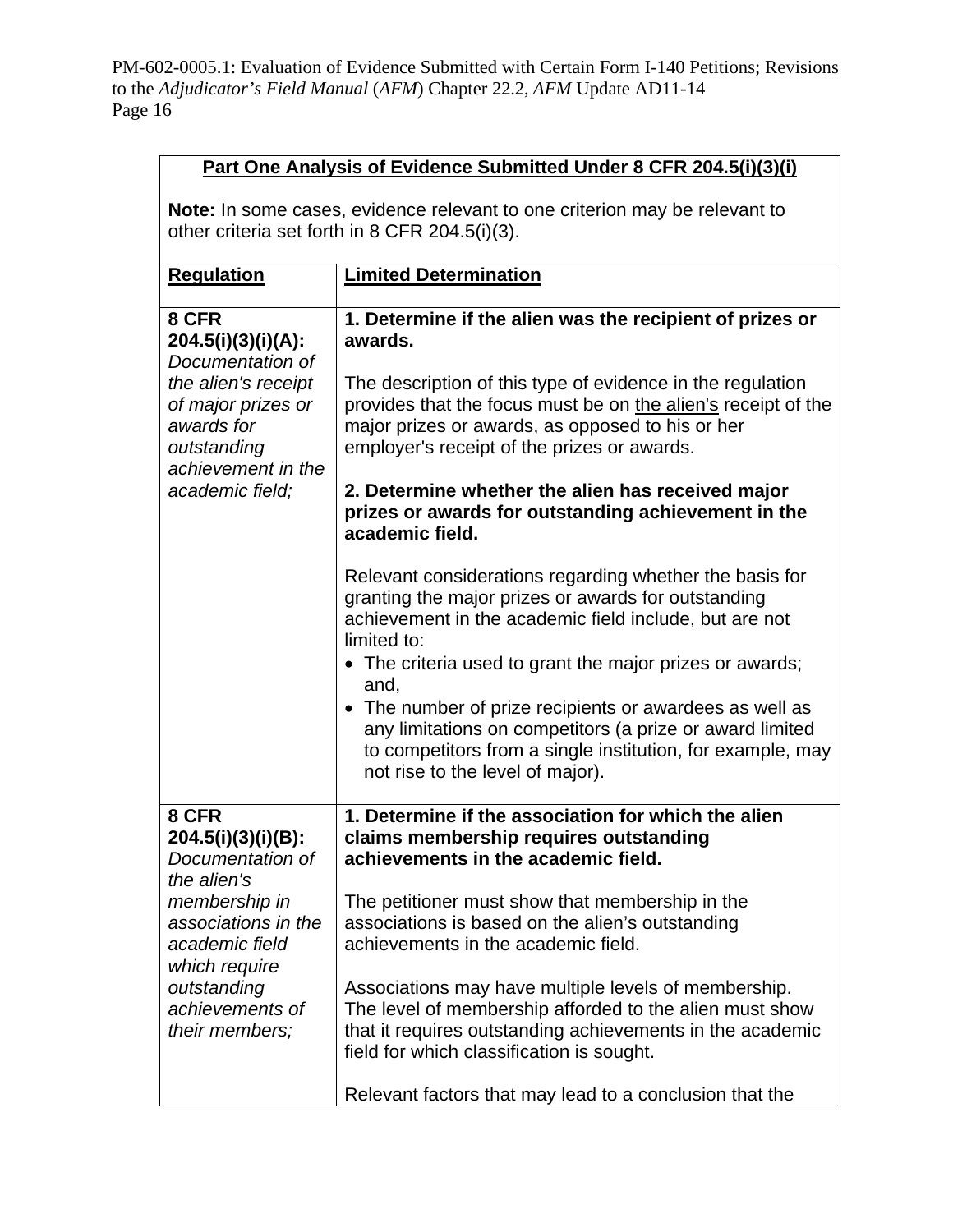| Part One Analysis of Evidence Submitted Under 8 CFR 204.5(i)(3)(i)                                                                                                 |                                                                                                                                                                                                                                                                                                                                                                                                                                                                                                                                                                                                                                                                                                                                                                                                                                                                                                                              |  |  |
|--------------------------------------------------------------------------------------------------------------------------------------------------------------------|------------------------------------------------------------------------------------------------------------------------------------------------------------------------------------------------------------------------------------------------------------------------------------------------------------------------------------------------------------------------------------------------------------------------------------------------------------------------------------------------------------------------------------------------------------------------------------------------------------------------------------------------------------------------------------------------------------------------------------------------------------------------------------------------------------------------------------------------------------------------------------------------------------------------------|--|--|
| Note: In some cases, evidence relevant to one criterion may be relevant to<br>other criteria set forth in 8 CFR 204.5(i)(3).                                       |                                                                                                                                                                                                                                                                                                                                                                                                                                                                                                                                                                                                                                                                                                                                                                                                                                                                                                                              |  |  |
| <b>Regulation</b>                                                                                                                                                  | <b>Limited Determination</b>                                                                                                                                                                                                                                                                                                                                                                                                                                                                                                                                                                                                                                                                                                                                                                                                                                                                                                 |  |  |
| 8 CFR<br>204.5(i)(3)(i)(A):<br>Documentation of<br>the alien's receipt<br>of major prizes or<br>awards for<br>outstanding<br>achievement in the<br>academic field; | 1. Determine if the alien was the recipient of prizes or<br>awards.<br>The description of this type of evidence in the regulation<br>provides that the focus must be on the alien's receipt of the<br>major prizes or awards, as opposed to his or her<br>employer's receipt of the prizes or awards.<br>2. Determine whether the alien has received major<br>prizes or awards for outstanding achievement in the<br>academic field.<br>Relevant considerations regarding whether the basis for<br>granting the major prizes or awards for outstanding<br>achievement in the academic field include, but are not<br>limited to:<br>• The criteria used to grant the major prizes or awards;<br>and,<br>• The number of prize recipients or awardees as well as<br>any limitations on competitors (a prize or award limited<br>to competitors from a single institution, for example, may<br>not rise to the level of major). |  |  |
| 8 CFR<br>204.5(i)(3)(i)(B):                                                                                                                                        | 1. Determine if the association for which the alien<br>claims membership requires outstanding                                                                                                                                                                                                                                                                                                                                                                                                                                                                                                                                                                                                                                                                                                                                                                                                                                |  |  |
| Documentation of<br>the alien's<br>membership in<br>associations in the<br>academic field<br>which require<br>outstanding<br>achievements of<br>their members;     | achievements in the academic field.<br>The petitioner must show that membership in the<br>associations is based on the alien's outstanding<br>achievements in the academic field.<br>Associations may have multiple levels of membership.<br>The level of membership afforded to the alien must show<br>that it requires outstanding achievements in the academic<br>field for which classification is sought.<br>Relevant factors that may lead to a conclusion that the                                                                                                                                                                                                                                                                                                                                                                                                                                                    |  |  |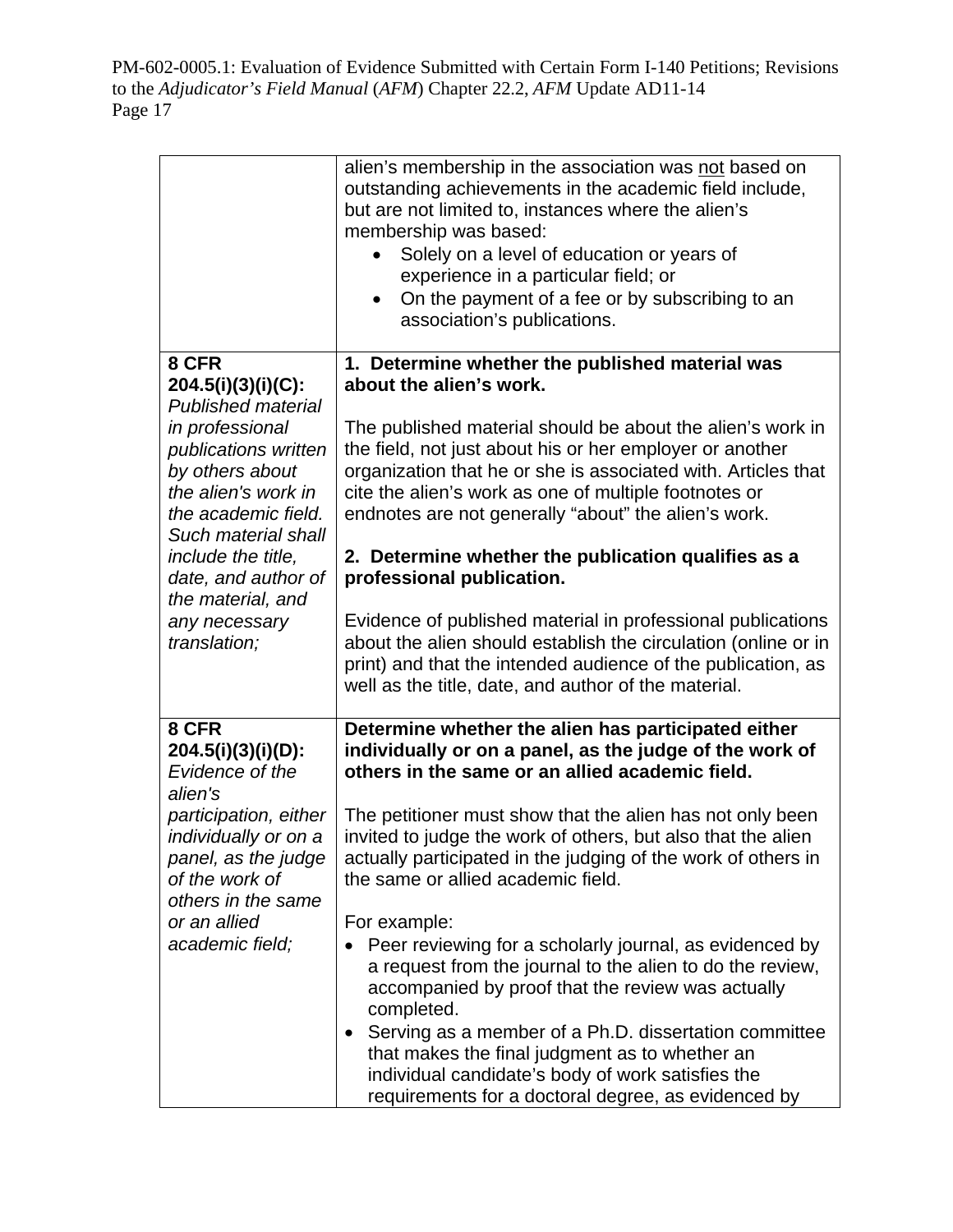|                                             | alien's membership in the association was not based on<br>outstanding achievements in the academic field include,<br>but are not limited to, instances where the alien's<br>membership was based:<br>Solely on a level of education or years of<br>experience in a particular field; or<br>On the payment of a fee or by subscribing to an<br>$\bullet$<br>association's publications. |  |  |
|---------------------------------------------|----------------------------------------------------------------------------------------------------------------------------------------------------------------------------------------------------------------------------------------------------------------------------------------------------------------------------------------------------------------------------------------|--|--|
| 8 CFR                                       | 1. Determine whether the published material was                                                                                                                                                                                                                                                                                                                                        |  |  |
| 204.5(i)(3)(i)(C):                          | about the alien's work.                                                                                                                                                                                                                                                                                                                                                                |  |  |
| <b>Published material</b>                   |                                                                                                                                                                                                                                                                                                                                                                                        |  |  |
| in professional                             | The published material should be about the alien's work in                                                                                                                                                                                                                                                                                                                             |  |  |
| publications written                        | the field, not just about his or her employer or another                                                                                                                                                                                                                                                                                                                               |  |  |
| by others about                             | organization that he or she is associated with. Articles that                                                                                                                                                                                                                                                                                                                          |  |  |
| the alien's work in<br>the academic field.  | cite the alien's work as one of multiple footnotes or                                                                                                                                                                                                                                                                                                                                  |  |  |
| Such material shall                         | endnotes are not generally "about" the alien's work.                                                                                                                                                                                                                                                                                                                                   |  |  |
| include the title,                          | 2. Determine whether the publication qualifies as a                                                                                                                                                                                                                                                                                                                                    |  |  |
| date, and author of                         | professional publication.                                                                                                                                                                                                                                                                                                                                                              |  |  |
| the material, and                           |                                                                                                                                                                                                                                                                                                                                                                                        |  |  |
| any necessary                               | Evidence of published material in professional publications                                                                                                                                                                                                                                                                                                                            |  |  |
| translation;                                | about the alien should establish the circulation (online or in                                                                                                                                                                                                                                                                                                                         |  |  |
|                                             | print) and that the intended audience of the publication, as                                                                                                                                                                                                                                                                                                                           |  |  |
|                                             | well as the title, date, and author of the material.                                                                                                                                                                                                                                                                                                                                   |  |  |
| 8 CFR                                       | Determine whether the alien has participated either                                                                                                                                                                                                                                                                                                                                    |  |  |
| 204.5(i)(3)(i)(D):                          | individually or on a panel, as the judge of the work of                                                                                                                                                                                                                                                                                                                                |  |  |
| Evidence of the                             | others in the same or an allied academic field.                                                                                                                                                                                                                                                                                                                                        |  |  |
| alien's                                     |                                                                                                                                                                                                                                                                                                                                                                                        |  |  |
| participation, either                       | The petitioner must show that the alien has not only been                                                                                                                                                                                                                                                                                                                              |  |  |
| individually or on a<br>panel, as the judge | invited to judge the work of others, but also that the alien<br>actually participated in the judging of the work of others in                                                                                                                                                                                                                                                          |  |  |
| of the work of                              | the same or allied academic field.                                                                                                                                                                                                                                                                                                                                                     |  |  |
| others in the same                          |                                                                                                                                                                                                                                                                                                                                                                                        |  |  |
| or an allied                                | For example:                                                                                                                                                                                                                                                                                                                                                                           |  |  |
| academic field;                             | Peer reviewing for a scholarly journal, as evidenced by                                                                                                                                                                                                                                                                                                                                |  |  |
|                                             | a request from the journal to the alien to do the review,                                                                                                                                                                                                                                                                                                                              |  |  |
|                                             | accompanied by proof that the review was actually                                                                                                                                                                                                                                                                                                                                      |  |  |
|                                             | completed.                                                                                                                                                                                                                                                                                                                                                                             |  |  |
|                                             | Serving as a member of a Ph.D. dissertation committee<br>٠                                                                                                                                                                                                                                                                                                                             |  |  |
|                                             | that makes the final judgment as to whether an                                                                                                                                                                                                                                                                                                                                         |  |  |
|                                             | individual candidate's body of work satisfies the<br>requirements for a doctoral degree, as evidenced by                                                                                                                                                                                                                                                                               |  |  |
|                                             |                                                                                                                                                                                                                                                                                                                                                                                        |  |  |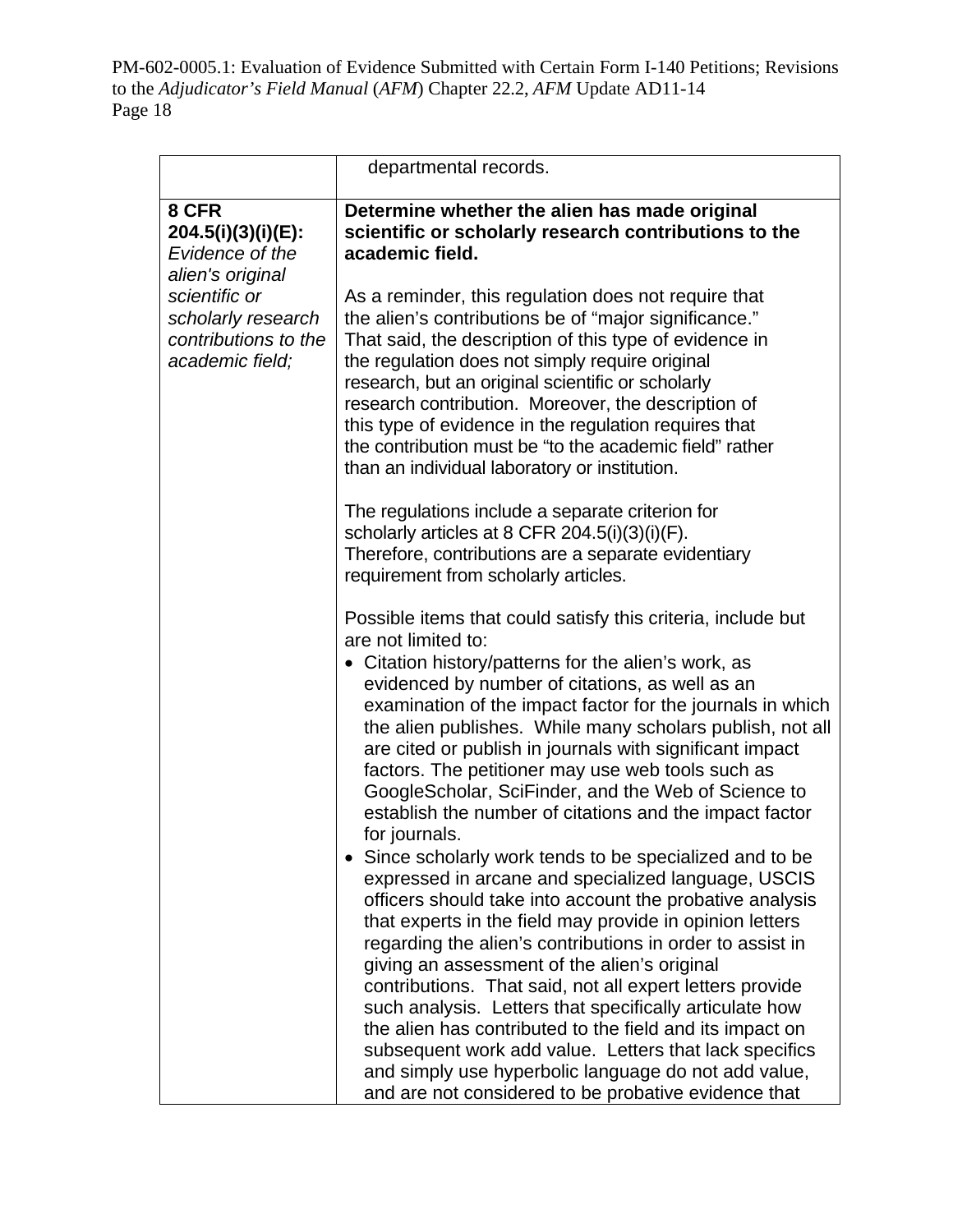|                                                                                | departmental records.                                                                                                                                                                                                                                                                                                                                                                                                                                                                                                                                                                                                                                                                                                                                                                                                                                                                                                                                                                                                                                                                                                    |
|--------------------------------------------------------------------------------|--------------------------------------------------------------------------------------------------------------------------------------------------------------------------------------------------------------------------------------------------------------------------------------------------------------------------------------------------------------------------------------------------------------------------------------------------------------------------------------------------------------------------------------------------------------------------------------------------------------------------------------------------------------------------------------------------------------------------------------------------------------------------------------------------------------------------------------------------------------------------------------------------------------------------------------------------------------------------------------------------------------------------------------------------------------------------------------------------------------------------|
| 8 CFR<br>204.5(i)(3)(i)(E):<br>Evidence of the<br>alien's original             | Determine whether the alien has made original<br>scientific or scholarly research contributions to the<br>academic field.                                                                                                                                                                                                                                                                                                                                                                                                                                                                                                                                                                                                                                                                                                                                                                                                                                                                                                                                                                                                |
| scientific or<br>scholarly research<br>contributions to the<br>academic field; | As a reminder, this regulation does not require that<br>the alien's contributions be of "major significance."<br>That said, the description of this type of evidence in<br>the regulation does not simply require original<br>research, but an original scientific or scholarly<br>research contribution. Moreover, the description of<br>this type of evidence in the regulation requires that<br>the contribution must be "to the academic field" rather<br>than an individual laboratory or institution.                                                                                                                                                                                                                                                                                                                                                                                                                                                                                                                                                                                                              |
|                                                                                | The regulations include a separate criterion for<br>scholarly articles at 8 CFR $204.5(i)(3)(i)(F)$ .<br>Therefore, contributions are a separate evidentiary<br>requirement from scholarly articles.                                                                                                                                                                                                                                                                                                                                                                                                                                                                                                                                                                                                                                                                                                                                                                                                                                                                                                                     |
|                                                                                | Possible items that could satisfy this criteria, include but<br>are not limited to:<br>• Citation history/patterns for the alien's work, as<br>evidenced by number of citations, as well as an<br>examination of the impact factor for the journals in which<br>the alien publishes. While many scholars publish, not all<br>are cited or publish in journals with significant impact<br>factors. The petitioner may use web tools such as<br>GoogleScholar, SciFinder, and the Web of Science to<br>establish the number of citations and the impact factor<br>for journals.<br>• Since scholarly work tends to be specialized and to be<br>expressed in arcane and specialized language, USCIS<br>officers should take into account the probative analysis<br>that experts in the field may provide in opinion letters<br>regarding the alien's contributions in order to assist in<br>giving an assessment of the alien's original<br>contributions. That said, not all expert letters provide<br>such analysis. Letters that specifically articulate how<br>the alien has contributed to the field and its impact on |
|                                                                                | subsequent work add value. Letters that lack specifics<br>and simply use hyperbolic language do not add value,<br>and are not considered to be probative evidence that                                                                                                                                                                                                                                                                                                                                                                                                                                                                                                                                                                                                                                                                                                                                                                                                                                                                                                                                                   |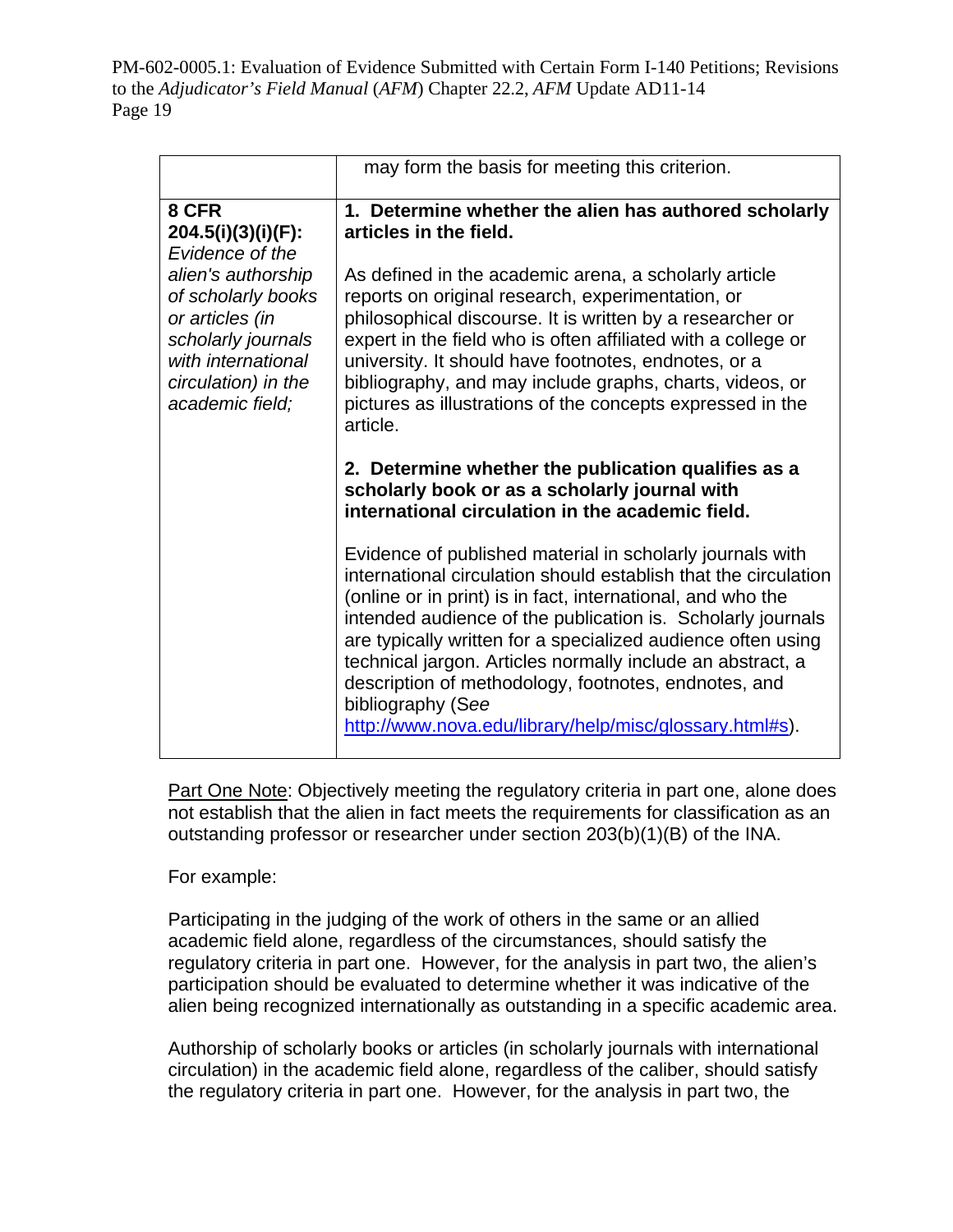| may form the basis for meeting this criterion.                                                                                                                                                                                                                                                                                                                                                                                                                                                                                   |  |  |  |
|----------------------------------------------------------------------------------------------------------------------------------------------------------------------------------------------------------------------------------------------------------------------------------------------------------------------------------------------------------------------------------------------------------------------------------------------------------------------------------------------------------------------------------|--|--|--|
| 1. Determine whether the alien has authored scholarly<br>articles in the field.                                                                                                                                                                                                                                                                                                                                                                                                                                                  |  |  |  |
| As defined in the academic arena, a scholarly article<br>reports on original research, experimentation, or<br>philosophical discourse. It is written by a researcher or<br>expert in the field who is often affiliated with a college or<br>university. It should have footnotes, endnotes, or a<br>bibliography, and may include graphs, charts, videos, or<br>pictures as illustrations of the concepts expressed in the<br>article.                                                                                           |  |  |  |
| 2. Determine whether the publication qualifies as a<br>scholarly book or as a scholarly journal with<br>international circulation in the academic field.                                                                                                                                                                                                                                                                                                                                                                         |  |  |  |
| Evidence of published material in scholarly journals with<br>international circulation should establish that the circulation<br>(online or in print) is in fact, international, and who the<br>intended audience of the publication is. Scholarly journals<br>are typically written for a specialized audience often using<br>technical jargon. Articles normally include an abstract, a<br>description of methodology, footnotes, endnotes, and<br>bibliography (See<br>http://www.nova.edu/library/help/misc/glossary.html#s). |  |  |  |
|                                                                                                                                                                                                                                                                                                                                                                                                                                                                                                                                  |  |  |  |

Part One Note: Objectively meeting the regulatory criteria in part one, alone does not establish that the alien in fact meets the requirements for classification as an outstanding professor or researcher under section 203(b)(1)(B) of the INA.

For example:

Participating in the judging of the work of others in the same or an allied academic field alone, regardless of the circumstances, should satisfy the regulatory criteria in part one. However, for the analysis in part two, the alien's participation should be evaluated to determine whether it was indicative of the alien being recognized internationally as outstanding in a specific academic area.

Authorship of scholarly books or articles (in scholarly journals with international circulation) in the academic field alone, regardless of the caliber, should satisfy the regulatory criteria in part one. However, for the analysis in part two, the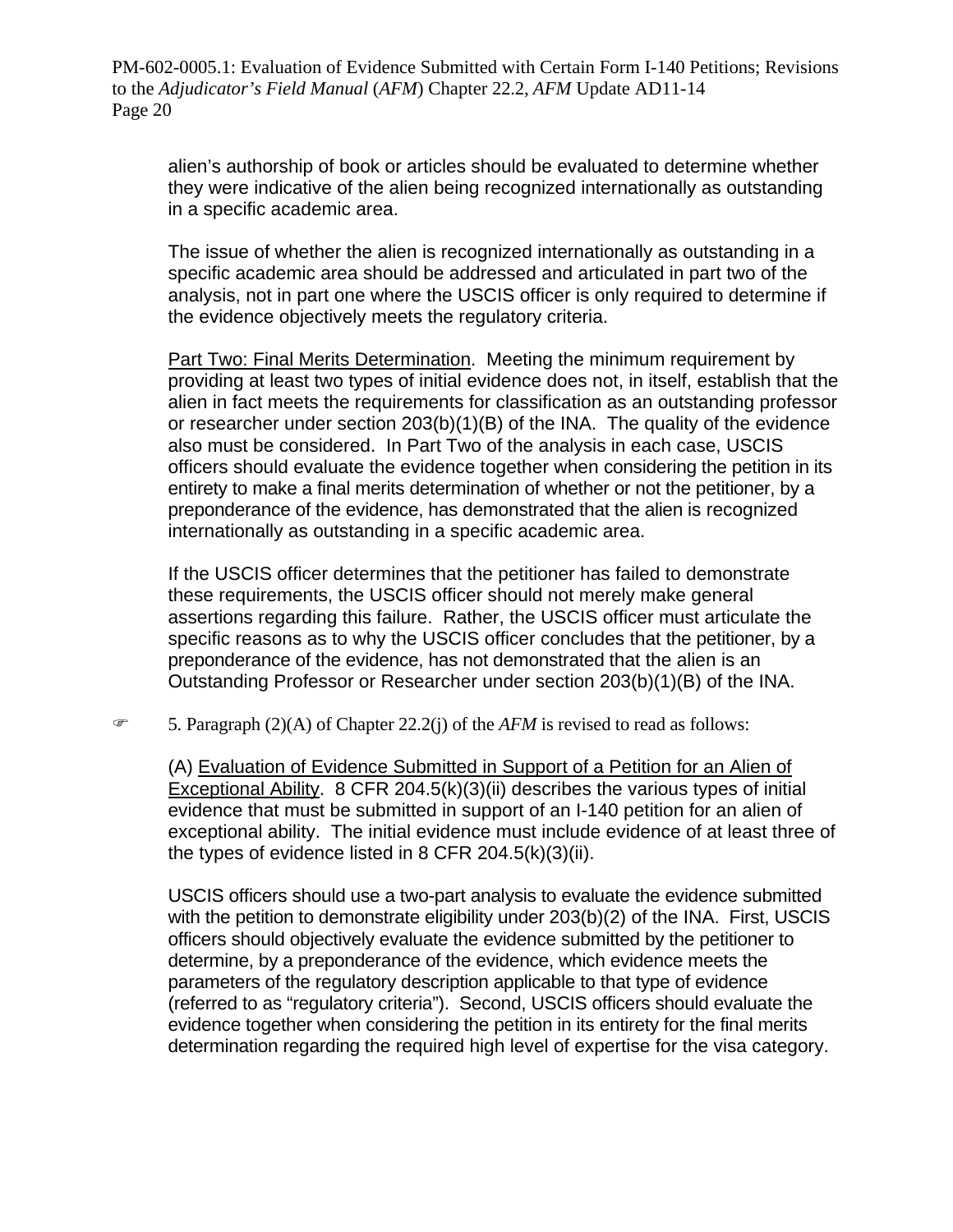alien's authorship of book or articles should be evaluated to determine whether they were indicative of the alien being recognized internationally as outstanding in a specific academic area.

The issue of whether the alien is recognized internationally as outstanding in a specific academic area should be addressed and articulated in part two of the analysis, not in part one where the USCIS officer is only required to determine if the evidence objectively meets the regulatory criteria.

Part Two: Final Merits Determination. Meeting the minimum requirement by providing at least two types of initial evidence does not, in itself, establish that the alien in fact meets the requirements for classification as an outstanding professor or researcher under section  $203(b)(1)(B)$  of the INA. The quality of the evidence also must be considered. In Part Two of the analysis in each case, USCIS officers should evaluate the evidence together when considering the petition in its entirety to make a final merits determination of whether or not the petitioner, by a preponderance of the evidence, has demonstrated that the alien is recognized internationally as outstanding in a specific academic area.

If the USCIS officer determines that the petitioner has failed to demonstrate these requirements, the USCIS officer should not merely make general assertions regarding this failure. Rather, the USCIS officer must articulate the specific reasons as to why the USCIS officer concludes that the petitioner, by a preponderance of the evidence, has not demonstrated that the alien is an Outstanding Professor or Researcher under section 203(b)(1)(B) of the INA.

5. Paragraph (2)(A) of Chapter 22.2(j) of the *AFM* is revised to read as follows:

(A) Evaluation of Evidence Submitted in Support of a Petition for an Alien of Exceptional Ability. 8 CFR 204.5(k)(3)(ii) describes the various types of initial evidence that must be submitted in support of an I-140 petition for an alien of exceptional ability. The initial evidence must include evidence of at least three of the types of evidence listed in 8 CFR 204.5(k)(3)(ii).

USCIS officers should use a two-part analysis to evaluate the evidence submitted with the petition to demonstrate eligibility under 203(b)(2) of the INA. First, USCIS officers should objectively evaluate the evidence submitted by the petitioner to determine, by a preponderance of the evidence, which evidence meets the parameters of the regulatory description applicable to that type of evidence (referred to as "regulatory criteria"). Second, USCIS officers should evaluate the evidence together when considering the petition in its entirety for the final merits determination regarding the required high level of expertise for the visa category.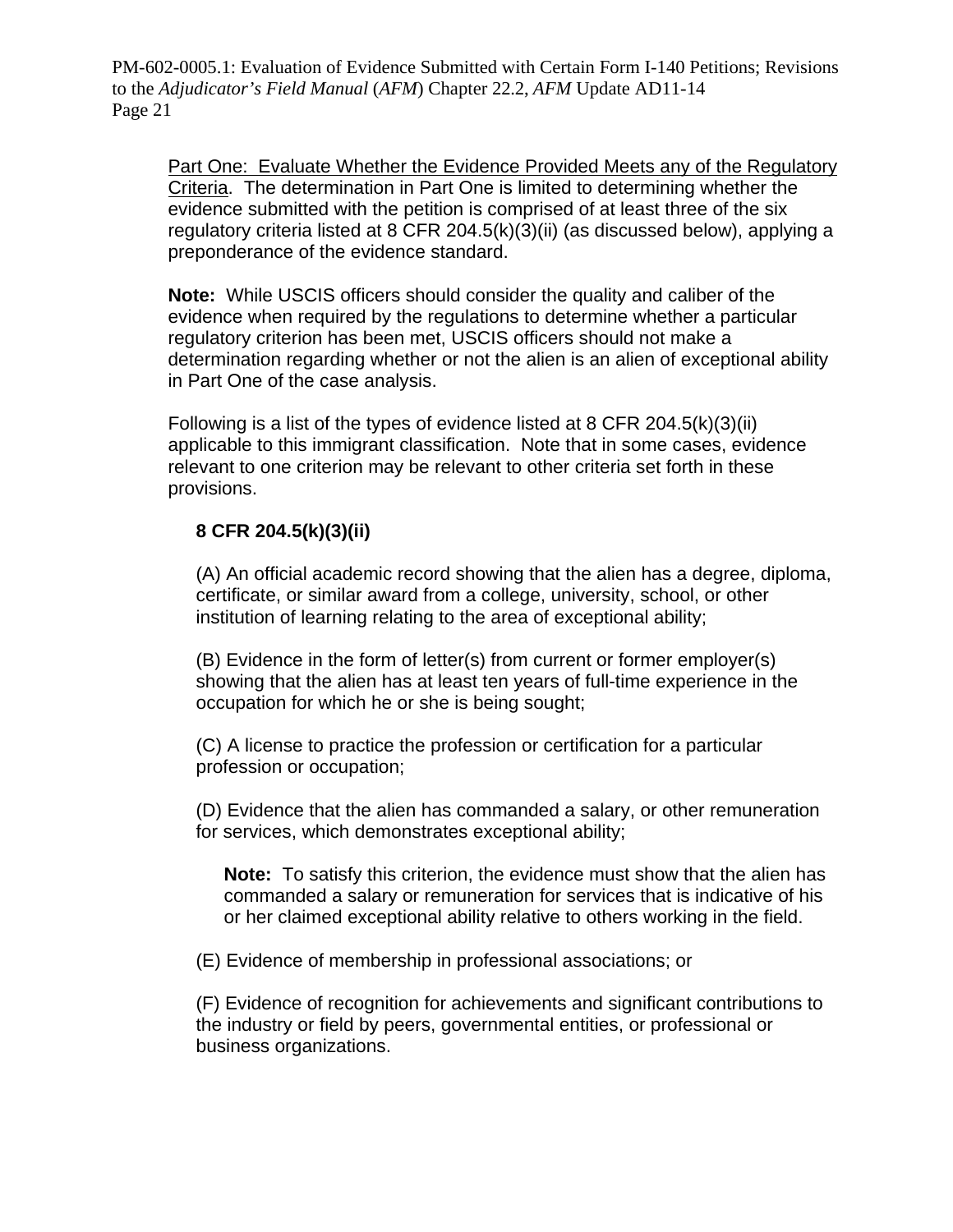Part One: Evaluate Whether the Evidence Provided Meets any of the Regulatory Criteria. The determination in Part One is limited to determining whether the evidence submitted with the petition is comprised of at least three of the six regulatory criteria listed at 8 CFR 204.5(k)(3)(ii) (as discussed below), applying a preponderance of the evidence standard.

**Note:** While USCIS officers should consider the quality and caliber of the evidence when required by the regulations to determine whether a particular regulatory criterion has been met, USCIS officers should not make a determination regarding whether or not the alien is an alien of exceptional ability in Part One of the case analysis.

Following is a list of the types of evidence listed at 8 CFR 204.5(k)(3)(ii) applicable to this immigrant classification. Note that in some cases, evidence relevant to one criterion may be relevant to other criteria set forth in these provisions.

## **8 CFR 204.5(k)(3)(ii)**

(A) An official academic record showing that the alien has a degree, diploma, certificate, or similar award from a college, university, school, or other institution of learning relating to the area of exceptional ability;

(B) Evidence in the form of letter(s) from current or former employer(s) showing that the alien has at least ten years of full-time experience in the occupation for which he or she is being sought;

(C) A license to practice the profession or certification for a particular profession or occupation;

(D) Evidence that the alien has commanded a salary, or other remuneration for services, which demonstrates exceptional ability;

**Note:** To satisfy this criterion, the evidence must show that the alien has commanded a salary or remuneration for services that is indicative of his or her claimed exceptional ability relative to others working in the field.

(E) Evidence of membership in professional associations; or

(F) Evidence of recognition for achievements and significant contributions to the industry or field by peers, governmental entities, or professional or business organizations.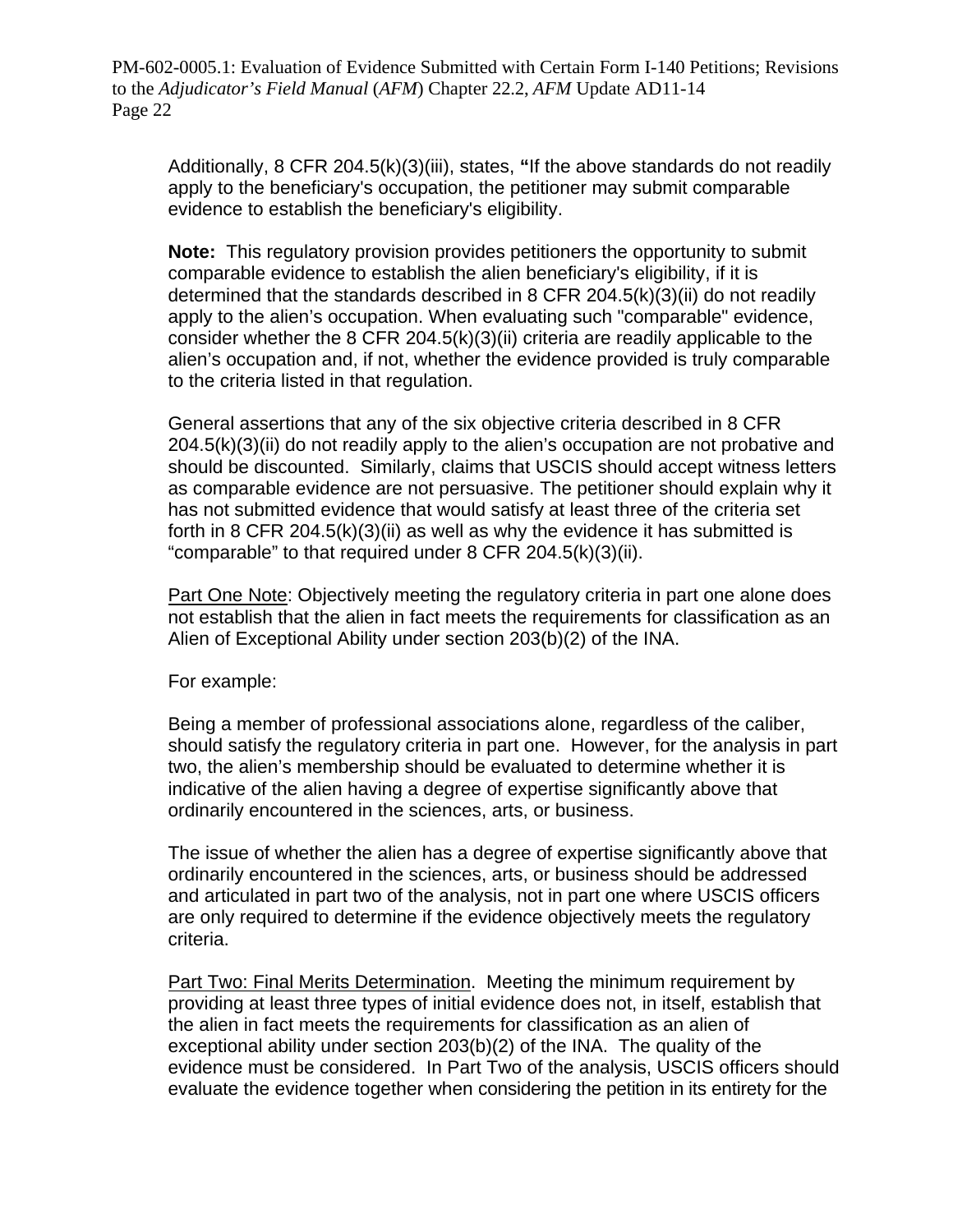Additionally, 8 CFR 204.5(k)(3)(iii), states, **"**If the above standards do not readily apply to the beneficiary's occupation, the petitioner may submit comparable evidence to establish the beneficiary's eligibility.

**Note:** This regulatory provision provides petitioners the opportunity to submit comparable evidence to establish the alien beneficiary's eligibility, if it is determined that the standards described in 8 CFR 204.5(k)(3)(ii) do not readily apply to the alien's occupation. When evaluating such "comparable" evidence, consider whether the 8 CFR 204.5(k)(3)(ii) criteria are readily applicable to the alien's occupation and, if not, whether the evidence provided is truly comparable to the criteria listed in that regulation.

General assertions that any of the six objective criteria described in 8 CFR 204.5(k)(3)(ii) do not readily apply to the alien's occupation are not probative and should be discounted. Similarly, claims that USCIS should accept witness letters as comparable evidence are not persuasive. The petitioner should explain why it has not submitted evidence that would satisfy at least three of the criteria set forth in 8 CFR 204.5(k)(3)(ii) as well as why the evidence it has submitted is "comparable" to that required under 8 CFR 204.5(k)(3)(ii).

Part One Note: Objectively meeting the regulatory criteria in part one alone does not establish that the alien in fact meets the requirements for classification as an Alien of Exceptional Ability under section 203(b)(2) of the INA.

For example:

Being a member of professional associations alone, regardless of the caliber, should satisfy the regulatory criteria in part one. However, for the analysis in part two, the alien's membership should be evaluated to determine whether it is indicative of the alien having a degree of expertise significantly above that ordinarily encountered in the sciences, arts, or business.

The issue of whether the alien has a degree of expertise significantly above that ordinarily encountered in the sciences, arts, or business should be addressed and articulated in part two of the analysis, not in part one where USCIS officers are only required to determine if the evidence objectively meets the regulatory criteria.

Part Two: Final Merits Determination. Meeting the minimum requirement by providing at least three types of initial evidence does not, in itself, establish that the alien in fact meets the requirements for classification as an alien of exceptional ability under section 203(b)(2) of the INA. The quality of the evidence must be considered. In Part Two of the analysis, USCIS officers should evaluate the evidence together when considering the petition in its entirety for the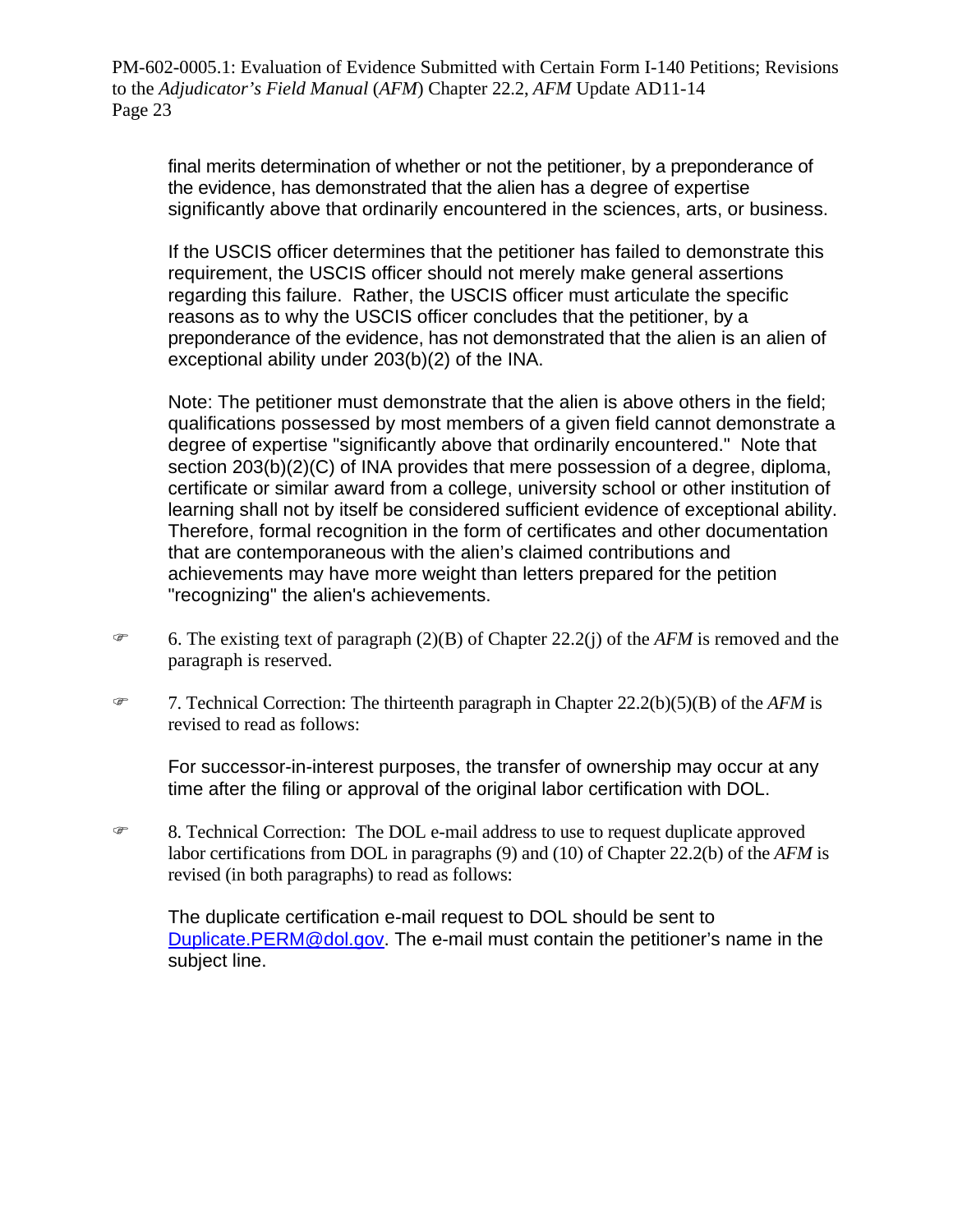final merits determination of whether or not the petitioner, by a preponderance of the evidence, has demonstrated that the alien has a degree of expertise significantly above that ordinarily encountered in the sciences, arts, or business.

If the USCIS officer determines that the petitioner has failed to demonstrate this requirement, the USCIS officer should not merely make general assertions regarding this failure. Rather, the USCIS officer must articulate the specific reasons as to why the USCIS officer concludes that the petitioner, by a preponderance of the evidence, has not demonstrated that the alien is an alien of exceptional ability under 203(b)(2) of the INA.

Note: The petitioner must demonstrate that the alien is above others in the field; qualifications possessed by most members of a given field cannot demonstrate a degree of expertise "significantly above that ordinarily encountered." Note that section 203(b)(2)(C) of INA provides that mere possession of a degree, diploma, certificate or similar award from a college, university school or other institution of learning shall not by itself be considered sufficient evidence of exceptional ability. Therefore, formal recognition in the form of certificates and other documentation that are contemporaneous with the alien's claimed contributions and achievements may have more weight than letters prepared for the petition "recognizing" the alien's achievements.

- 6. The existing text of paragraph (2)(B) of Chapter 22.2(j) of the *AFM* is removed and the paragraph is reserved.
- 7. Technical Correction: The thirteenth paragraph in Chapter 22.2(b)(5)(B) of the *AFM* is revised to read as follows:

For successor-in-interest purposes, the transfer of ownership may occur at any time after the filing or approval of the original labor certification with DOL.

 8. Technical Correction: The DOL e-mail address to use to request duplicate approved labor certifications from DOL in paragraphs (9) and (10) of Chapter 22.2(b) of the *AFM* is revised (in both paragraphs) to read as follows:

The duplicate certification e-mail request to DOL should be sent to [Duplicate.PERM@dol.gov.](mailto:Duplicate.PERM@dol.gov) The e-mail must contain the petitioner's name in the subject line.